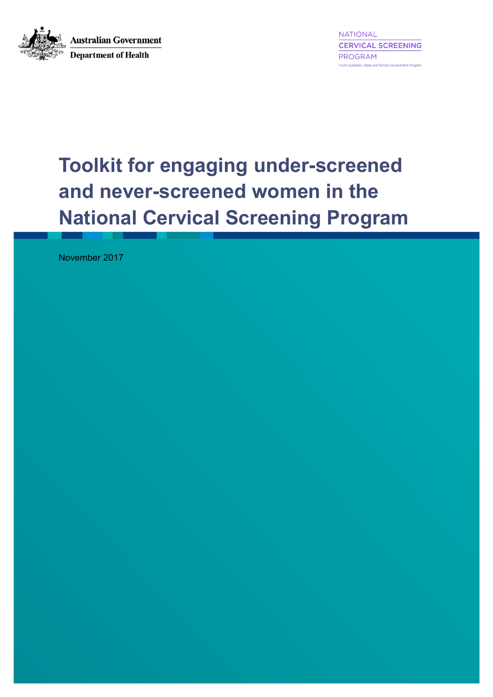

**NATIONAL CERVICAL SCREENING** PROGRAM A joint Australian, State and Territory Government Program

# **Toolkit for engaging under-screened and never-screened women in the National Cervical Screening Program**

November 2017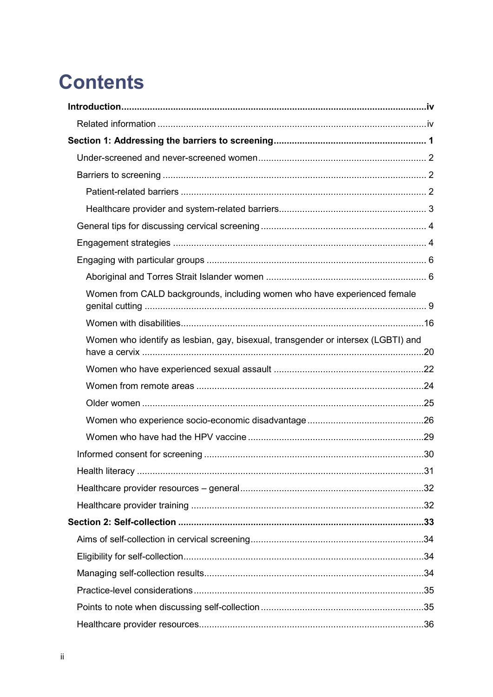# **Contents**

| Women from CALD backgrounds, including women who have experienced female          |  |
|-----------------------------------------------------------------------------------|--|
|                                                                                   |  |
| Women who identify as lesbian, gay, bisexual, transgender or intersex (LGBTI) and |  |
|                                                                                   |  |
|                                                                                   |  |
|                                                                                   |  |
|                                                                                   |  |
|                                                                                   |  |
|                                                                                   |  |
|                                                                                   |  |
|                                                                                   |  |
|                                                                                   |  |
|                                                                                   |  |
|                                                                                   |  |
|                                                                                   |  |
|                                                                                   |  |
|                                                                                   |  |
|                                                                                   |  |
|                                                                                   |  |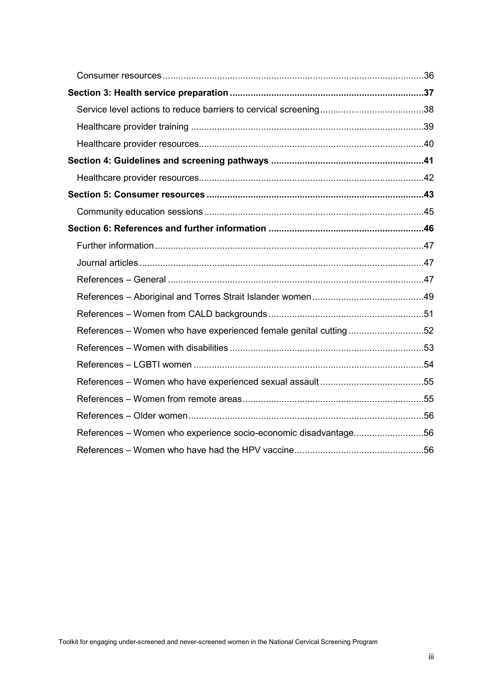| References - Women who have experienced female genital cutting52 |  |
|------------------------------------------------------------------|--|
|                                                                  |  |
|                                                                  |  |
|                                                                  |  |
|                                                                  |  |
|                                                                  |  |
| References - Women who experience socio-economic disadvantage56  |  |
|                                                                  |  |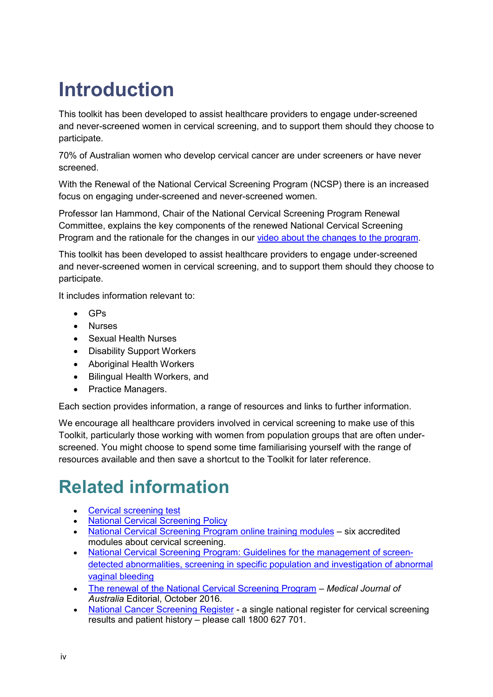# <span id="page-3-0"></span>**Introduction**

This toolkit has been developed to assist healthcare providers to engage under-screened and never-screened women in cervical screening, and to support them should they choose to participate.

70% of Australian women who develop cervical cancer are under screeners or have never screened.

With the Renewal of the National Cervical Screening Program (NCSP) there is an increased focus on engaging under-screened and never-screened women.

Professor Ian Hammond, Chair of the National Cervical Screening Program Renewal Committee, explains the key components of the renewed National Cervical Screening Program and the rationale for the changes in our [video about the changes to the program.](https://youtu.be/dot-aB_R1ck)

This toolkit has been developed to assist healthcare providers to engage under-screened and never-screened women in cervical screening, and to support them should they choose to participate.

It includes information relevant to:

- GPs
- Nurses
- Sexual Health Nurses
- Disability Support Workers
- Aboriginal Health Workers
- Bilingual Health Workers, and
- Practice Managers.

Each section provides information, a range of resources and links to further information.

We encourage all healthcare providers involved in cervical screening to make use of this Toolkit, particularly those working with women from population groups that are often underscreened. You might choose to spend some time familiarising yourself with the range of resources available and then save a shortcut to the Toolkit for later reference.

# <span id="page-3-1"></span>**Related information**

- **[Cervical screening test](https://www.healthdirect.gov.au/cervical-screening-test)**
- **[National Cervical Screening Policy](https://health.gov.au/resources/publications/national-cervical-screening-program-national-cervical-screening-policy)**
- [National Cervical Screening Program online training modules](https://learn.nps.org.au/mod/page/view.php?id=7804) six accredited modules about cervical screening.
- [National Cervical Screening Program: Guidelines for the management of screen](https://wiki.cancer.org.au/australia/Guidelines:Cervical_cancer/Screening)[detected abnormalities, screening in specific population and investigation of abnormal](https://wiki.cancer.org.au/australia/Guidelines:Cervical_cancer/Screening)  [vaginal bleeding](https://wiki.cancer.org.au/australia/Guidelines:Cervical_cancer/Screening)
- [The renewal of the National Cervical Screening Program](https://www.mja.com.au/journal/2016/205/8/renewal-national-cervical-screening-program) *Medical Journal of Australia* Editorial, October 2016.
- [National Cancer Screening Register](http://www.ncsr.gov.au/) a single national register for cervical screening results and patient history – please call 1800 627 701.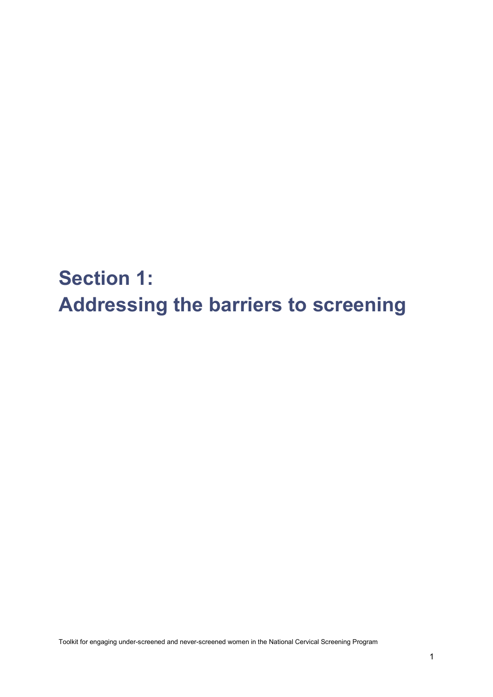<span id="page-4-0"></span>**Section 1: Addressing the barriers to screening**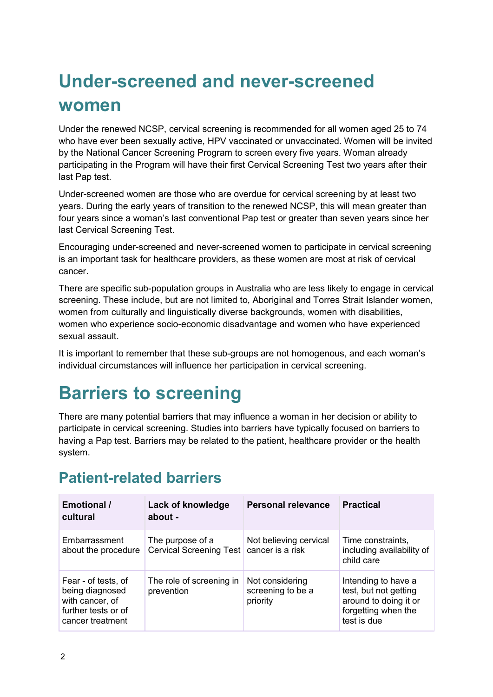# <span id="page-5-0"></span>**Under-screened and never-screened women**

Under the renewed NCSP, cervical screening is recommended for all women aged 25 to 74 who have ever been sexually active, HPV vaccinated or unvaccinated. Women will be invited by the National Cancer Screening Program to screen every five years. Woman already participating in the Program will have their first Cervical Screening Test two years after their last Pap test.

Under-screened women are those who are overdue for cervical screening by at least two years. During the early years of transition to the renewed NCSP, this will mean greater than four years since a woman's last conventional Pap test or greater than seven years since her last Cervical Screening Test.

Encouraging under-screened and never-screened women to participate in cervical screening is an important task for healthcare providers, as these women are most at risk of cervical cancer.

There are specific sub-population groups in Australia who are less likely to engage in cervical screening. These include, but are not limited to, Aboriginal and Torres Strait Islander women, women from culturally and linguistically diverse backgrounds, women with disabilities, women who experience socio-economic disadvantage and women who have experienced sexual assault.

It is important to remember that these sub-groups are not homogenous, and each woman's individual circumstances will influence her participation in cervical screening.

# <span id="page-5-1"></span>**Barriers to screening**

There are many potential barriers that may influence a woman in her decision or ability to participate in cervical screening. Studies into barriers have typically focused on barriers to having a Pap test. Barriers may be related to the patient, healthcare provider or the health system.

### <span id="page-5-2"></span>**Patient-related barriers**

| <b>Emotional /</b><br>cultural                                                                       | Lack of knowledge<br>about -                                   | <b>Personal relevance</b>                        | <b>Practical</b>                                                                                            |
|------------------------------------------------------------------------------------------------------|----------------------------------------------------------------|--------------------------------------------------|-------------------------------------------------------------------------------------------------------------|
| Embarrassment<br>about the procedure                                                                 | The purpose of a<br>Cervical Screening Test   cancer is a risk | Not believing cervical                           | Time constraints,<br>including availability of<br>child care                                                |
| Fear - of tests, of<br>being diagnosed<br>with cancer, of<br>further tests or of<br>cancer treatment | The role of screening in<br>prevention                         | Not considering<br>screening to be a<br>priority | Intending to have a<br>test, but not getting<br>around to doing it or<br>forgetting when the<br>test is due |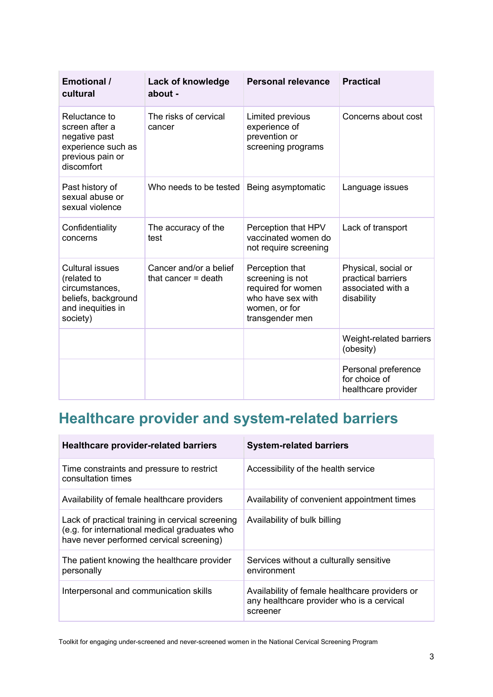| <b>Emotional /</b><br>cultural                                                                                  | Lack of knowledge<br>about -                    | <b>Personal relevance</b>                                                                                          | <b>Practical</b>                                                             |
|-----------------------------------------------------------------------------------------------------------------|-------------------------------------------------|--------------------------------------------------------------------------------------------------------------------|------------------------------------------------------------------------------|
| Reluctance to<br>screen after a<br>negative past<br>experience such as<br>previous pain or<br>discomfort        | The risks of cervical<br>cancer                 | Limited previous<br>experience of<br>prevention or<br>screening programs                                           | Concerns about cost                                                          |
| Past history of<br>sexual abuse or<br>sexual violence                                                           | Who needs to be tested                          | Being asymptomatic                                                                                                 | Language issues                                                              |
| Confidentiality<br>concerns                                                                                     | The accuracy of the<br>test                     | Perception that HPV<br>vaccinated women do<br>not require screening                                                | Lack of transport                                                            |
| <b>Cultural issues</b><br>(related to<br>circumstances,<br>beliefs, background<br>and inequities in<br>society) | Cancer and/or a belief<br>that cancer $=$ death | Perception that<br>screening is not<br>required for women<br>who have sex with<br>women, or for<br>transgender men | Physical, social or<br>practical barriers<br>associated with a<br>disability |
|                                                                                                                 |                                                 |                                                                                                                    | Weight-related barriers<br>(obesity)                                         |
|                                                                                                                 |                                                 |                                                                                                                    | Personal preference<br>for choice of<br>healthcare provider                  |

### <span id="page-6-0"></span>**Healthcare provider and system-related barriers**

| <b>Healthcare provider-related barriers</b>                                                                                                   | <b>System-related barriers</b>                                                                          |
|-----------------------------------------------------------------------------------------------------------------------------------------------|---------------------------------------------------------------------------------------------------------|
| Time constraints and pressure to restrict<br>consultation times                                                                               | Accessibility of the health service                                                                     |
| Availability of female healthcare providers                                                                                                   | Availability of convenient appointment times                                                            |
| Lack of practical training in cervical screening<br>(e.g. for international medical graduates who<br>have never performed cervical screening) | Availability of bulk billing                                                                            |
| The patient knowing the healthcare provider<br>personally                                                                                     | Services without a culturally sensitive<br>environment                                                  |
| Interpersonal and communication skills                                                                                                        | Availability of female healthcare providers or<br>any healthcare provider who is a cervical<br>screener |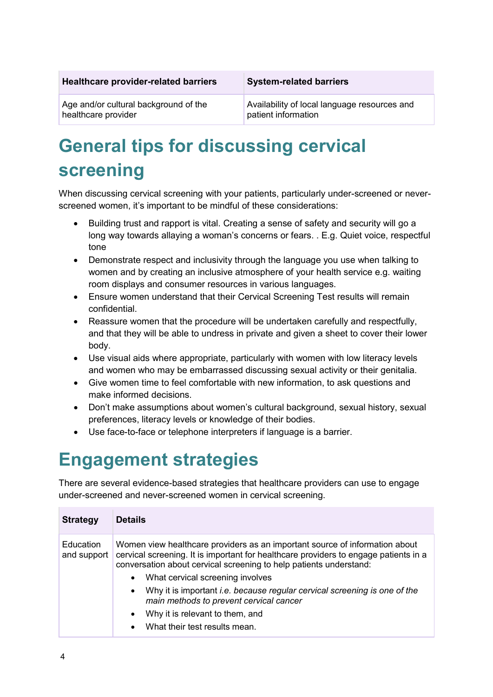| <b>Healthcare provider-related barriers</b> |  |  |
|---------------------------------------------|--|--|
|---------------------------------------------|--|--|

#### **Healthcare provider-related barriers System-related barriers**

Age and/or cultural background of the healthcare provider

Availability of local language resources and patient information

# <span id="page-7-0"></span>**General tips for discussing cervical screening**

When discussing cervical screening with your patients, particularly under-screened or neverscreened women, it's important to be mindful of these considerations:

- Building trust and rapport is vital. Creating a sense of safety and security will go a long way towards allaying a woman's concerns or fears. . E.g. Quiet voice, respectful tone
- Demonstrate respect and inclusivity through the language you use when talking to women and by creating an inclusive atmosphere of your health service e.g. waiting room displays and consumer resources in various languages.
- Ensure women understand that their Cervical Screening Test results will remain confidential.
- Reassure women that the procedure will be undertaken carefully and respectfully, and that they will be able to undress in private and given a sheet to cover their lower body.
- Use visual aids where appropriate, particularly with women with low literacy levels and women who may be embarrassed discussing sexual activity or their genitalia.
- Give women time to feel comfortable with new information, to ask questions and make informed decisions.
- Don't make assumptions about women's cultural background, sexual history, sexual preferences, literacy levels or knowledge of their bodies.
- Use face-to-face or telephone interpreters if language is a barrier.

# <span id="page-7-1"></span>**Engagement strategies**

There are several evidence-based strategies that healthcare providers can use to engage under-screened and never-screened women in cervical screening.

| <b>Strategy</b>                 | <b>Details</b>                                                                                                                                                                                                                            |
|---------------------------------|-------------------------------------------------------------------------------------------------------------------------------------------------------------------------------------------------------------------------------------------|
| <b>Education</b><br>and support | Women view healthcare providers as an important source of information about<br>cervical screening. It is important for healthcare providers to engage patients in a<br>conversation about cervical screening to help patients understand: |
|                                 | What cervical screening involves<br>$\bullet$                                                                                                                                                                                             |
|                                 | Why it is important <i>i.e.</i> because regular cervical screening is one of the<br>$\bullet$<br>main methods to prevent cervical cancer                                                                                                  |
|                                 | Why it is relevant to them, and<br>$\bullet$                                                                                                                                                                                              |
|                                 | What their test results mean.<br>$\bullet$                                                                                                                                                                                                |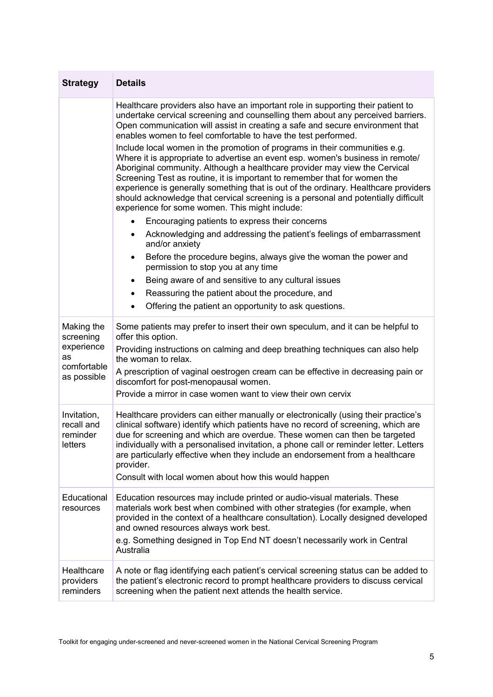| <b>Strategy</b>                                  | <b>Details</b>                                                                                                                                                                                                                                                                                                                                                                                                                                                                                                                                         |
|--------------------------------------------------|--------------------------------------------------------------------------------------------------------------------------------------------------------------------------------------------------------------------------------------------------------------------------------------------------------------------------------------------------------------------------------------------------------------------------------------------------------------------------------------------------------------------------------------------------------|
|                                                  | Healthcare providers also have an important role in supporting their patient to<br>undertake cervical screening and counselling them about any perceived barriers.<br>Open communication will assist in creating a safe and secure environment that<br>enables women to feel comfortable to have the test performed.                                                                                                                                                                                                                                   |
|                                                  | Include local women in the promotion of programs in their communities e.g.<br>Where it is appropriate to advertise an event esp. women's business in remote/<br>Aboriginal community. Although a healthcare provider may view the Cervical<br>Screening Test as routine, it is important to remember that for women the<br>experience is generally something that is out of the ordinary. Healthcare providers<br>should acknowledge that cervical screening is a personal and potentially difficult<br>experience for some women. This might include: |
|                                                  | Encouraging patients to express their concerns                                                                                                                                                                                                                                                                                                                                                                                                                                                                                                         |
|                                                  | Acknowledging and addressing the patient's feelings of embarrassment<br>and/or anxiety                                                                                                                                                                                                                                                                                                                                                                                                                                                                 |
|                                                  | Before the procedure begins, always give the woman the power and<br>permission to stop you at any time                                                                                                                                                                                                                                                                                                                                                                                                                                                 |
|                                                  | Being aware of and sensitive to any cultural issues                                                                                                                                                                                                                                                                                                                                                                                                                                                                                                    |
|                                                  | Reassuring the patient about the procedure, and                                                                                                                                                                                                                                                                                                                                                                                                                                                                                                        |
|                                                  | Offering the patient an opportunity to ask questions.                                                                                                                                                                                                                                                                                                                                                                                                                                                                                                  |
| Making the<br>screening                          | Some patients may prefer to insert their own speculum, and it can be helpful to<br>offer this option.                                                                                                                                                                                                                                                                                                                                                                                                                                                  |
| experience<br>as                                 | Providing instructions on calming and deep breathing techniques can also help<br>the woman to relax.                                                                                                                                                                                                                                                                                                                                                                                                                                                   |
| comfortable<br>as possible                       | A prescription of vaginal oestrogen cream can be effective in decreasing pain or<br>discomfort for post-menopausal women.                                                                                                                                                                                                                                                                                                                                                                                                                              |
|                                                  | Provide a mirror in case women want to view their own cervix                                                                                                                                                                                                                                                                                                                                                                                                                                                                                           |
| Invitation,<br>recall and<br>reminder<br>letters | Healthcare providers can either manually or electronically (using their practice's<br>clinical software) identify which patients have no record of screening, which are<br>due for screening and which are overdue. These women can then be targeted<br>individually with a personalised invitation, a phone call or reminder letter. Letters<br>are particularly effective when they include an endorsement from a healthcare<br>provider.<br>Consult with local women about how this would happen                                                    |
| Educational<br>resources                         | Education resources may include printed or audio-visual materials. These<br>materials work best when combined with other strategies (for example, when<br>provided in the context of a healthcare consultation). Locally designed developed<br>and owned resources always work best.<br>e.g. Something designed in Top End NT doesn't necessarily work in Central<br>Australia                                                                                                                                                                         |
| Healthcare<br>providers<br>reminders             | A note or flag identifying each patient's cervical screening status can be added to<br>the patient's electronic record to prompt healthcare providers to discuss cervical<br>screening when the patient next attends the health service.                                                                                                                                                                                                                                                                                                               |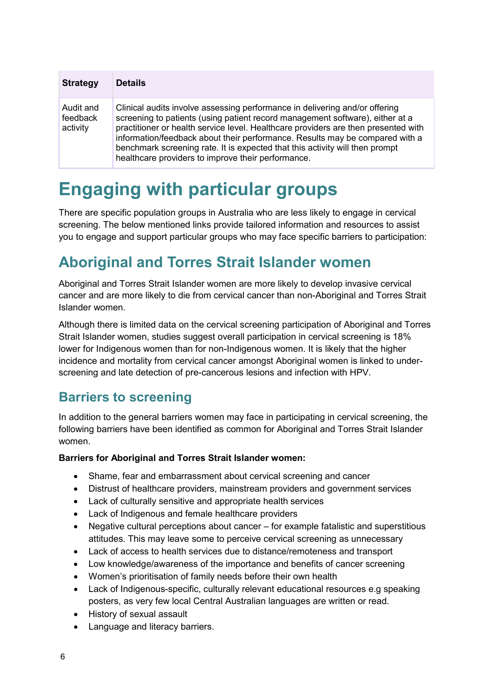| <b>Strategy</b>                   | <b>Details</b>                                                                                                                                                                                                                                                                                                                                                                                                                                                           |
|-----------------------------------|--------------------------------------------------------------------------------------------------------------------------------------------------------------------------------------------------------------------------------------------------------------------------------------------------------------------------------------------------------------------------------------------------------------------------------------------------------------------------|
| Audit and<br>feedback<br>activity | Clinical audits involve assessing performance in delivering and/or offering<br>screening to patients (using patient record management software), either at a<br>practitioner or health service level. Healthcare providers are then presented with<br>information/feedback about their performance. Results may be compared with a<br>benchmark screening rate. It is expected that this activity will then prompt<br>healthcare providers to improve their performance. |

# <span id="page-9-0"></span>**Engaging with particular groups**

There are specific population groups in Australia who are less likely to engage in cervical screening. The below mentioned links provide tailored information and resources to assist you to engage and support particular groups who may face specific barriers to participation:

### <span id="page-9-1"></span>**Aboriginal and Torres Strait Islander women**

Aboriginal and Torres Strait Islander women are more likely to develop invasive cervical cancer and are more likely to die from cervical cancer than non-Aboriginal and Torres Strait Islander women.

Although there is limited data on the cervical screening participation of Aboriginal and Torres Strait Islander women, studies suggest overall participation in cervical screening is 18% lower for Indigenous women than for non-Indigenous women. It is likely that the higher incidence and mortality from cervical cancer amongst Aboriginal women is linked to underscreening and late detection of pre-cancerous lesions and infection with HPV.

#### **Barriers to screening**

In addition to the general barriers women may face in participating in cervical screening, the following barriers have been identified as common for Aboriginal and Torres Strait Islander women.

#### **Barriers for Aboriginal and Torres Strait Islander women:**

- Shame, fear and embarrassment about cervical screening and cancer
- Distrust of healthcare providers, mainstream providers and government services
- Lack of culturally sensitive and appropriate health services
- Lack of Indigenous and female healthcare providers
- Negative cultural perceptions about cancer for example fatalistic and superstitious attitudes. This may leave some to perceive cervical screening as unnecessary
- Lack of access to health services due to distance/remoteness and transport
- Low knowledge/awareness of the importance and benefits of cancer screening
- Women's prioritisation of family needs before their own health
- Lack of Indigenous-specific, culturally relevant educational resources e.g speaking posters, as very few local Central Australian languages are written or read.
- History of sexual assault
- Language and literacy barriers.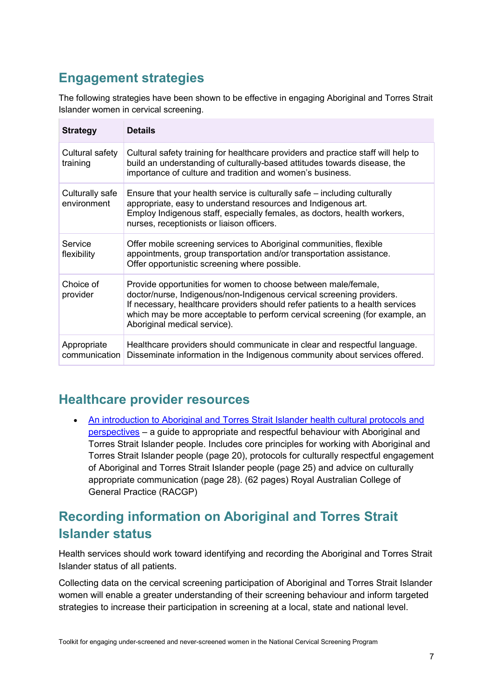### <span id="page-10-0"></span>**Engagement strategies**

The following strategies have been shown to be effective in engaging Aboriginal and Torres Strait Islander women in cervical screening.

| <b>Strategy</b>                | <b>Details</b>                                                                                                                                                                                                                                                                                                                          |
|--------------------------------|-----------------------------------------------------------------------------------------------------------------------------------------------------------------------------------------------------------------------------------------------------------------------------------------------------------------------------------------|
| Cultural safety<br>training    | Cultural safety training for healthcare providers and practice staff will help to<br>build an understanding of culturally-based attitudes towards disease, the<br>importance of culture and tradition and women's business.                                                                                                             |
| Culturally safe<br>environment | Ensure that your health service is culturally safe – including culturally<br>appropriate, easy to understand resources and Indigenous art.<br>Employ Indigenous staff, especially females, as doctors, health workers,<br>nurses, receptionists or liaison officers.                                                                    |
| Service<br>flexibility         | Offer mobile screening services to Aboriginal communities, flexible<br>appointments, group transportation and/or transportation assistance.<br>Offer opportunistic screening where possible.                                                                                                                                            |
| Choice of<br>provider          | Provide opportunities for women to choose between male/female,<br>doctor/nurse, Indigenous/non-Indigenous cervical screening providers.<br>If necessary, healthcare providers should refer patients to a health services<br>which may be more acceptable to perform cervical screening (for example, an<br>Aboriginal medical service). |
| Appropriate<br>communication   | Healthcare providers should communicate in clear and respectful language.<br>Disseminate information in the Indigenous community about services offered.                                                                                                                                                                                |

#### **Healthcare provider resources**

• An introduction to Aboriginal and Torres Strait Islander health cultural protocols and [perspectives](https://www.racgp.org.au/yourracgp/faculties/aboriginal/guides/cultural-protocols/) – a guide to appropriate and respectful behaviour with Aboriginal and Torres Strait Islander people. Includes core principles for working with Aboriginal and Torres Strait Islander people (page 20), protocols for culturally respectful engagement of Aboriginal and Torres Strait Islander people (page 25) and advice on culturally appropriate communication (page 28). (62 pages) Royal Australian College of General Practice (RACGP)

### **Recording information on Aboriginal and Torres Strait Islander status**

Health services should work toward identifying and recording the Aboriginal and Torres Strait Islander status of all patients.

Collecting data on the cervical screening participation of Aboriginal and Torres Strait Islander women will enable a greater understanding of their screening behaviour and inform targeted strategies to increase their participation in screening at a local, state and national level.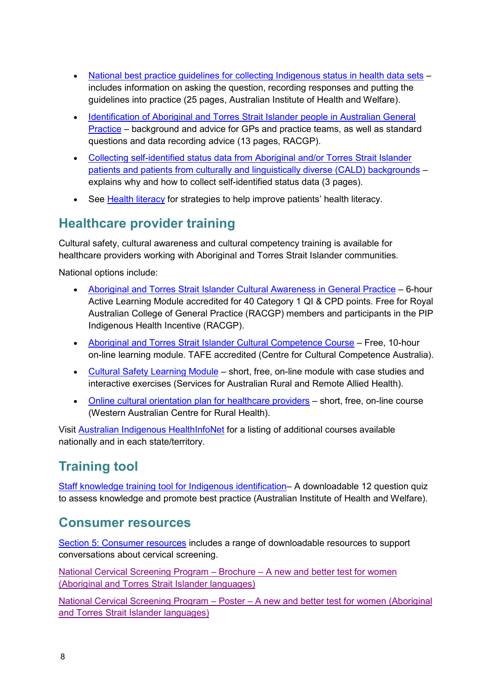- [National best practice guidelines for collecting Indigenous status in health data sets](https://www.aihw.gov.au/reports/indigenous-australians/national-guidelines-collecting-health-data-sets/contents/table-of-contents) includes information on asking the question, recording responses and putting the guidelines into practice (25 pages, Australian Institute of Health and Welfare).
- [Identification of Aboriginal and Torres Strait Islander people in Australian General](https://www.racgp.org.au/yourracgp/faculties/aboriginal/guides/identification/)  [Practice](https://www.racgp.org.au/yourracgp/faculties/aboriginal/guides/identification/) – background and advice for GPs and practice teams, as well as standard questions and data recording advice (13 pages, RACGP).
- [Collecting self-identified status data from Aboriginal and/or Torres Strait Islander](https://www.cancervic.org.au/for-health-professionals/cervical-screening-providers/cervical-screening-toolkit)  [patients and patients from culturally and linguistically diverse \(CALD\) backgrounds](https://www.cancervic.org.au/for-health-professionals/cervical-screening-providers/cervical-screening-toolkit) – explains why and how to collect self-identified status data (3 pages).
- See [Health literacy](#page-33-1) for strategies to help improve patients' health literacy.

### <span id="page-11-0"></span>**Healthcare provider training**

Cultural safety, cultural awareness and cultural competency training is available for healthcare providers working with Aboriginal and Torres Strait Islander communities.

National options include:

- [Aboriginal and Torres Strait Islander Cultural Awareness in General Practice](http://www.healthinfonet.ecu.edu.au/key-resources/courses-training?fid=414) 6-hour Active Learning Module accredited for 40 Category 1 QI & CPD points. Free for Royal Australian College of General Practice (RACGP) members and participants in the PIP Indigenous Health Incentive (RACGP).
- [Aboriginal and Torres Strait Islander Cultural Competence Course](http://www.healthinfonet.ecu.edu.au/key-resources/courses-training?fid=456) Free, 10-hour on-line learning module. TAFE accredited (Centre for Cultural Competence Australia).
- [Cultural Safety Learning Module](http://www.healthinfonet.ecu.edu.au/key-resources/courses-training?fid=463) short, free, on-line module with case studies and interactive exercises (Services for Australian Rural and Remote Allied Health).
- [Online cultural orientation plan for healthcare providers](http://www.healthinfonet.ecu.edu.au/key-resources/courses-training?fid=324) short, free, on-line course (Western Australian Centre for Rural Health).

Visit [Australian Indigenous HealthInfoNet](http://www.healthinfonet.ecu.edu.au/key-resources/courses-training) for a listing of additional courses available nationally and in each state/territory.

### **Training tool**

[Staff knowledge training tool for Indigenous identification–](https://360.articulate.com/review/content/ef93b47f-ddb5-48d2-af65-f17129c43a94/review) A downloadable 12 question quiz to assess knowledge and promote best practice (Australian Institute of Health and Welfare).

#### **Consumer resources**

[Section 5: Consumer resources](#page-46-0) includes a range of downloadable resources to support conversations about cervical screening.

National Cervical Screening Program – Brochure – [A new and better test for women](https://health.gov.au/resources/translated/national-cervical-screening-program-brochure-a-new-and-better-test-for-women-aboriginal-and-torres-strait-islander-languages)  [\(Aboriginal and Torres Strait Islander languages\)](https://health.gov.au/resources/translated/national-cervical-screening-program-brochure-a-new-and-better-test-for-women-aboriginal-and-torres-strait-islander-languages)

National Cervical Screening Program – Poster – [A new and better test for women \(Aboriginal](https://health.gov.au/resources/translated/national-cervical-screening-program-poster-a-new-and-better-test-for-women-aboriginal-and-torres-strait-islander-languages)  [and Torres Strait Islander languages\)](https://health.gov.au/resources/translated/national-cervical-screening-program-poster-a-new-and-better-test-for-women-aboriginal-and-torres-strait-islander-languages)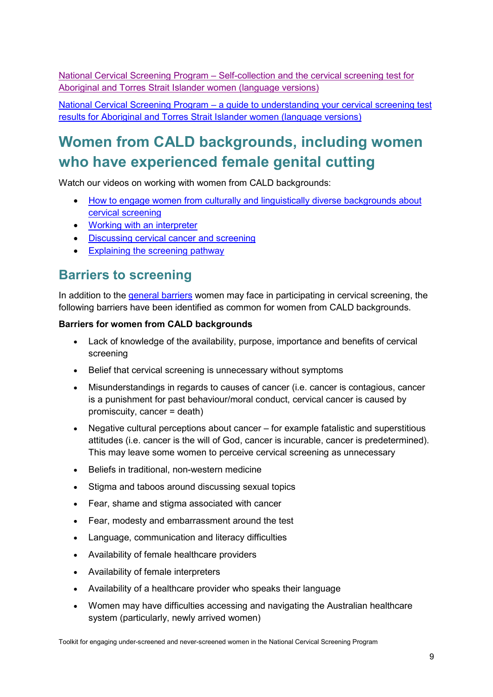National Cervical Screening Program – [Self-collection and the cervical screening test for](https://health.gov.au/resources/translated/national-cervical-screening-program-self-collection-and-the-cervical-screening-test-for-aboriginal-and-torres-strait-islander-women-language-versions)  [Aboriginal and Torres Strait Islander women \(language versions\)](https://health.gov.au/resources/translated/national-cervical-screening-program-self-collection-and-the-cervical-screening-test-for-aboriginal-and-torres-strait-islander-women-language-versions)

National Cervical Screening Program – [a guide to understanding your cervical screening test](https://health.gov.au/resources/translated/national-cervical-screening-program-a-guide-to-understanding-your-cervical-screening-test-results-for-aboriginal-and-torres-strait-islander-women-language-versions)  [results for Aboriginal and Torres Strait Islander women \(language versions\)](https://health.gov.au/resources/translated/national-cervical-screening-program-a-guide-to-understanding-your-cervical-screening-test-results-for-aboriginal-and-torres-strait-islander-women-language-versions)

### <span id="page-12-0"></span>**Women from CALD backgrounds, including women who have experienced female genital cutting**

Watch our videos on working with women from CALD backgrounds:

- [How to engage women from culturally and linguistically diverse backgrounds about](https://youtu.be/3g8_EKjRhWY)  [cervical screening](https://youtu.be/3g8_EKjRhWY)
- [Working with an interpreter](https://youtu.be/uoeqDqm6jHY)
- [Discussing cervical cancer and screening](https://youtu.be/_0S9IC7DOB0)
- [Explaining the screening pathway](https://youtu.be/P3egvEsuQ_4)

### <span id="page-12-1"></span>**Barriers to screening**

In addition to the [general barriers](#page-5-1) women may face in participating in cervical screening, the following barriers have been identified as common for women from CALD backgrounds.

#### **Barriers for women from CALD backgrounds**

- Lack of knowledge of the availability, purpose, importance and benefits of cervical screening
- Belief that cervical screening is unnecessary without symptoms
- Misunderstandings in regards to causes of cancer (i.e. cancer is contagious, cancer is a punishment for past behaviour/moral conduct, cervical cancer is caused by promiscuity, cancer = death)
- Negative cultural perceptions about cancer for example fatalistic and superstitious attitudes (i.e. cancer is the will of God, cancer is incurable, cancer is predetermined). This may leave some women to perceive cervical screening as unnecessary
- Beliefs in traditional, non-western medicine
- Stigma and taboos around discussing sexual topics
- Fear, shame and stigma associated with cancer
- Fear, modesty and embarrassment around the test
- Language, communication and literacy difficulties
- Availability of female healthcare providers
- Availability of female interpreters
- Availability of a healthcare provider who speaks their language
- Women may have difficulties accessing and navigating the Australian healthcare system (particularly, newly arrived women)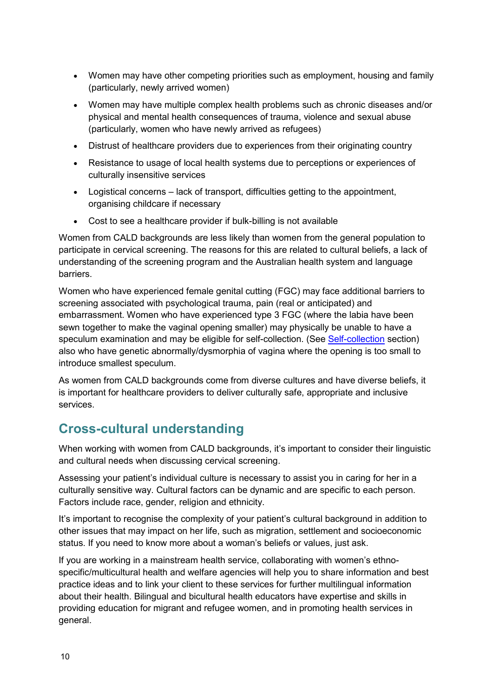- Women may have other competing priorities such as employment, housing and family (particularly, newly arrived women)
- Women may have multiple complex health problems such as chronic diseases and/or physical and mental health consequences of trauma, violence and sexual abuse (particularly, women who have newly arrived as refugees)
- Distrust of healthcare providers due to experiences from their originating country
- Resistance to usage of local health systems due to perceptions or experiences of culturally insensitive services
- Logistical concerns lack of transport, difficulties getting to the appointment, organising childcare if necessary
- Cost to see a healthcare provider if bulk-billing is not available

Women from CALD backgrounds are less likely than women from the general population to participate in cervical screening. The reasons for this are related to cultural beliefs, a lack of understanding of the screening program and the Australian health system and language barriers.

Women who have experienced female genital cutting (FGC) may face additional barriers to screening associated with psychological trauma, pain (real or anticipated) and embarrassment. Women who have experienced type 3 FGC (where the labia have been sewn together to make the vaginal opening smaller) may physically be unable to have a speculum examination and may be eligible for self-collection. (See [Self-collection](#page-36-0) section) also who have genetic abnormally/dysmorphia of vagina where the opening is too small to introduce smallest speculum.

As women from CALD backgrounds come from diverse cultures and have diverse beliefs, it is important for healthcare providers to deliver culturally safe, appropriate and inclusive services.

### **Cross-cultural understanding**

When working with women from CALD backgrounds, it's important to consider their linguistic and cultural needs when discussing cervical screening.

Assessing your patient's individual culture is necessary to assist you in caring for her in a culturally sensitive way. Cultural factors can be dynamic and are specific to each person. Factors include race, gender, religion and ethnicity.

It's important to recognise the complexity of your patient's cultural background in addition to other issues that may impact on her life, such as migration, settlement and socioeconomic status. If you need to know more about a woman's beliefs or values, just ask.

If you are working in a mainstream health service, collaborating with women's ethnospecific/multicultural health and welfare agencies will help you to share information and best practice ideas and to link your client to these services for further multilingual information about their health. Bilingual and bicultural health educators have expertise and skills in providing education for migrant and refugee women, and in promoting health services in general.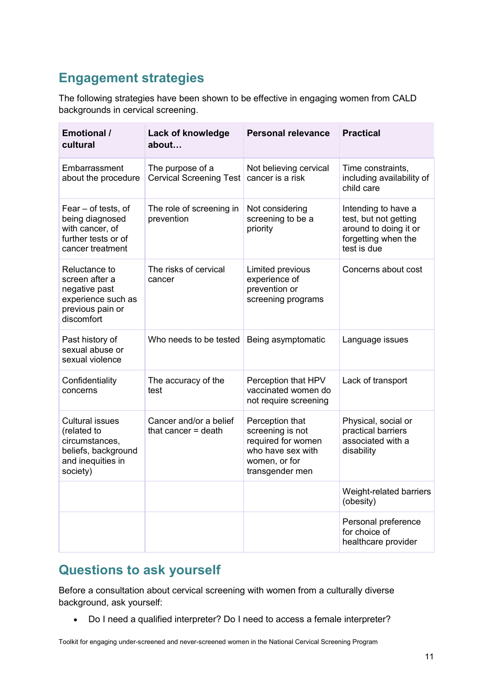### **Engagement strategies**

The following strategies have been shown to be effective in engaging women from CALD backgrounds in cervical screening.

| <b>Emotional /</b><br>cultural                                                                                  | Lack of knowledge<br>about                      | <b>Personal relevance</b>                                                                                          | <b>Practical</b>                                                                                            |
|-----------------------------------------------------------------------------------------------------------------|-------------------------------------------------|--------------------------------------------------------------------------------------------------------------------|-------------------------------------------------------------------------------------------------------------|
| Embarrassment<br>about the procedure                                                                            | The purpose of a<br>Cervical Screening Test     | Not believing cervical<br>cancer is a risk                                                                         | Time constraints,<br>including availability of<br>child care                                                |
| Fear - of tests, of<br>being diagnosed<br>with cancer, of<br>further tests or of<br>cancer treatment            | The role of screening in<br>prevention          | Not considering<br>screening to be a<br>priority                                                                   | Intending to have a<br>test, but not getting<br>around to doing it or<br>forgetting when the<br>test is due |
| Reluctance to<br>screen after a<br>negative past<br>experience such as<br>previous pain or<br>discomfort        | The risks of cervical<br>cancer                 | Limited previous<br>experience of<br>prevention or<br>screening programs                                           | Concerns about cost                                                                                         |
| Past history of<br>sexual abuse or<br>sexual violence                                                           | Who needs to be tested                          | Being asymptomatic                                                                                                 | Language issues                                                                                             |
| Confidentiality<br>concerns                                                                                     | The accuracy of the<br>test                     | Perception that HPV<br>vaccinated women do<br>not require screening                                                | Lack of transport                                                                                           |
| <b>Cultural issues</b><br>(related to<br>circumstances,<br>beliefs, background<br>and inequities in<br>society) | Cancer and/or a belief<br>that cancer $=$ death | Perception that<br>screening is not<br>required for women<br>who have sex with<br>women, or for<br>transgender men | Physical, social or<br>practical barriers<br>associated with a<br>disability                                |
|                                                                                                                 |                                                 |                                                                                                                    | Weight-related barriers<br>(obesity)                                                                        |
|                                                                                                                 |                                                 |                                                                                                                    | Personal preference<br>for choice of<br>healthcare provider                                                 |

### **Questions to ask yourself**

Before a consultation about cervical screening with women from a culturally diverse background, ask yourself:

• Do I need a qualified interpreter? Do I need to access a female interpreter?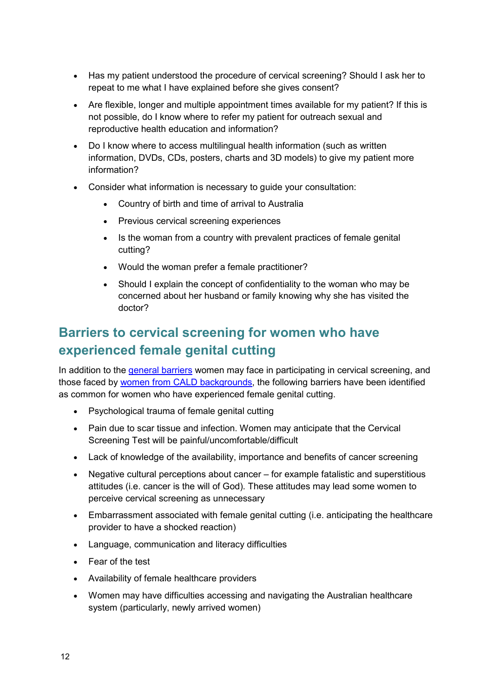- Has my patient understood the procedure of cervical screening? Should I ask her to repeat to me what I have explained before she gives consent?
- Are flexible, longer and multiple appointment times available for my patient? If this is not possible, do I know where to refer my patient for outreach sexual and reproductive health education and information?
- Do I know where to access multilingual health information (such as written information, DVDs, CDs, posters, charts and 3D models) to give my patient more information?
- Consider what information is necessary to guide your consultation:
	- Country of birth and time of arrival to Australia
	- Previous cervical screening experiences
	- Is the woman from a country with prevalent practices of female genital cutting?
	- Would the woman prefer a female practitioner?
	- Should I explain the concept of confidentiality to the woman who may be concerned about her husband or family knowing why she has visited the doctor?

### **Barriers to cervical screening for women who have experienced female genital cutting**

In addition to the [general barriers](#page-5-1) women may face in participating in cervical screening, and those faced by [women from CALD backgrounds,](#page-12-1) the following barriers have been identified as common for women who have experienced female genital cutting.

- Psychological trauma of female genital cutting
- Pain due to scar tissue and infection. Women may anticipate that the Cervical Screening Test will be painful/uncomfortable/difficult
- Lack of knowledge of the availability, importance and benefits of cancer screening
- Negative cultural perceptions about cancer for example fatalistic and superstitious attitudes (i.e. cancer is the will of God). These attitudes may lead some women to perceive cervical screening as unnecessary
- Embarrassment associated with female genital cutting (i.e. anticipating the healthcare provider to have a shocked reaction)
- Language, communication and literacy difficulties
- Fear of the test
- Availability of female healthcare providers
- Women may have difficulties accessing and navigating the Australian healthcare system (particularly, newly arrived women)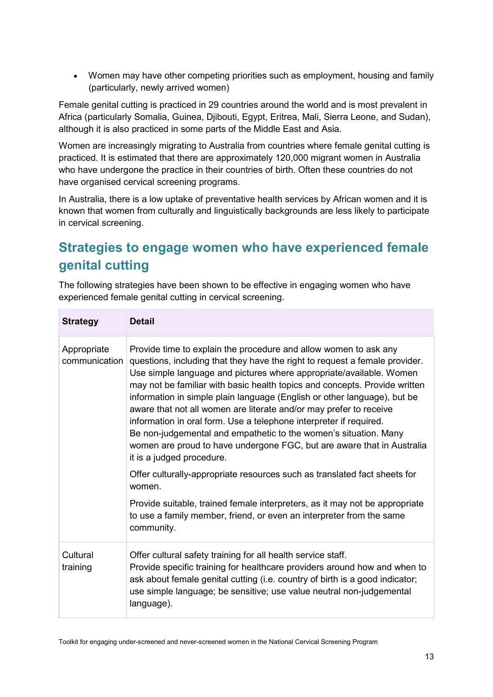• Women may have other competing priorities such as employment, housing and family (particularly, newly arrived women)

Female genital cutting is practiced in 29 countries around the world and is most prevalent in Africa (particularly Somalia, Guinea, Djibouti, Egypt, Eritrea, Mali, Sierra Leone, and Sudan), although it is also practiced in some parts of the Middle East and Asia.

Women are increasingly migrating to Australia from countries where female genital cutting is practiced. It is estimated that there are approximately 120,000 migrant women in Australia who have undergone the practice in their countries of birth. Often these countries do not have organised cervical screening programs.

In Australia, there is a low uptake of preventative health services by African women and it is known that women from culturally and linguistically backgrounds are less likely to participate in cervical screening.

### **Strategies to engage women who have experienced female genital cutting**

The following strategies have been shown to be effective in engaging women who have experienced female genital cutting in cervical screening.

| <b>Strategy</b>              | <b>Detail</b>                                                                                                                                                                                                                                                                                                                                                                                                                                                                                                                                                                                                                                                                                                                                                                                                                                                                 |
|------------------------------|-------------------------------------------------------------------------------------------------------------------------------------------------------------------------------------------------------------------------------------------------------------------------------------------------------------------------------------------------------------------------------------------------------------------------------------------------------------------------------------------------------------------------------------------------------------------------------------------------------------------------------------------------------------------------------------------------------------------------------------------------------------------------------------------------------------------------------------------------------------------------------|
| Appropriate<br>communication | Provide time to explain the procedure and allow women to ask any<br>questions, including that they have the right to request a female provider.<br>Use simple language and pictures where appropriate/available. Women<br>may not be familiar with basic health topics and concepts. Provide written<br>information in simple plain language (English or other language), but be<br>aware that not all women are literate and/or may prefer to receive<br>information in oral form. Use a telephone interpreter if required.<br>Be non-judgemental and empathetic to the women's situation. Many<br>women are proud to have undergone FGC, but are aware that in Australia<br>it is a judged procedure.<br>Offer culturally-appropriate resources such as translated fact sheets for<br>women.<br>Provide suitable, trained female interpreters, as it may not be appropriate |
|                              | to use a family member, friend, or even an interpreter from the same<br>community.                                                                                                                                                                                                                                                                                                                                                                                                                                                                                                                                                                                                                                                                                                                                                                                            |
| Cultural<br>training         | Offer cultural safety training for all health service staff.<br>Provide specific training for healthcare providers around how and when to<br>ask about female genital cutting (i.e. country of birth is a good indicator;<br>use simple language; be sensitive; use value neutral non-judgemental<br>language).                                                                                                                                                                                                                                                                                                                                                                                                                                                                                                                                                               |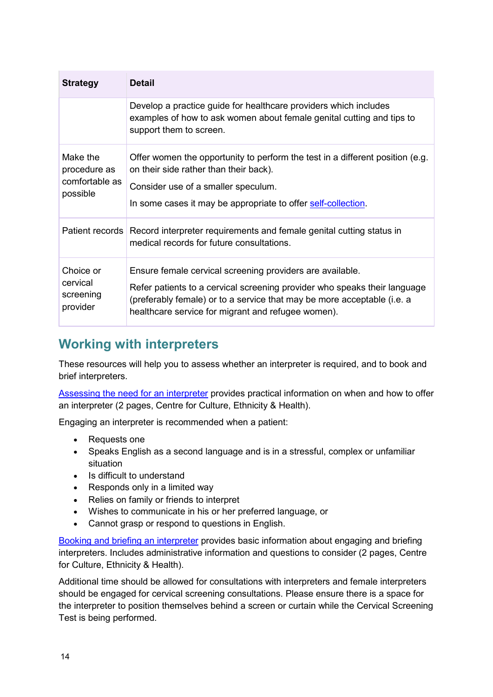| <b>Strategy</b>                                        | <b>Detail</b>                                                                                                                                                                                                                                                           |
|--------------------------------------------------------|-------------------------------------------------------------------------------------------------------------------------------------------------------------------------------------------------------------------------------------------------------------------------|
|                                                        | Develop a practice guide for healthcare providers which includes<br>examples of how to ask women about female genital cutting and tips to<br>support them to screen.                                                                                                    |
| Make the<br>procedure as<br>comfortable as<br>possible | Offer women the opportunity to perform the test in a different position (e.g.<br>on their side rather than their back).<br>Consider use of a smaller speculum.<br>In some cases it may be appropriate to offer self-collection.                                         |
|                                                        | Patient records Record interpreter requirements and female genital cutting status in<br>medical records for future consultations.                                                                                                                                       |
| Choice or<br>cervical<br>screening<br>provider         | Ensure female cervical screening providers are available.<br>Refer patients to a cervical screening provider who speaks their language<br>(preferably female) or to a service that may be more acceptable (i.e. a<br>healthcare service for migrant and refugee women). |

### **Working with interpreters**

These resources will help you to assess whether an interpreter is required, and to book and brief interpreters.

[Assessing the need for an interpreter](https://www.ceh.org.au/resource-hub/assessing-the-need-for-an-interpreter/) provides practical information on when and how to offer an interpreter (2 pages, Centre for Culture, Ethnicity & Health).

Engaging an interpreter is recommended when a patient:

- Requests one
- Speaks English as a second language and is in a stressful, complex or unfamiliar situation
- Is difficult to understand
- Responds only in a limited way
- Relies on family or friends to interpret
- Wishes to communicate in his or her preferred language, or
- Cannot grasp or respond to questions in English.

[Booking and briefing an interpreter](https://www.ceh.org.au/resource-hub/booking-and-briefing-an-interpreter/) provides basic information about engaging and briefing interpreters. Includes administrative information and questions to consider (2 pages, Centre for Culture, Ethnicity & Health).

Additional time should be allowed for consultations with interpreters and female interpreters should be engaged for cervical screening consultations. Please ensure there is a space for the interpreter to position themselves behind a screen or curtain while the Cervical Screening Test is being performed.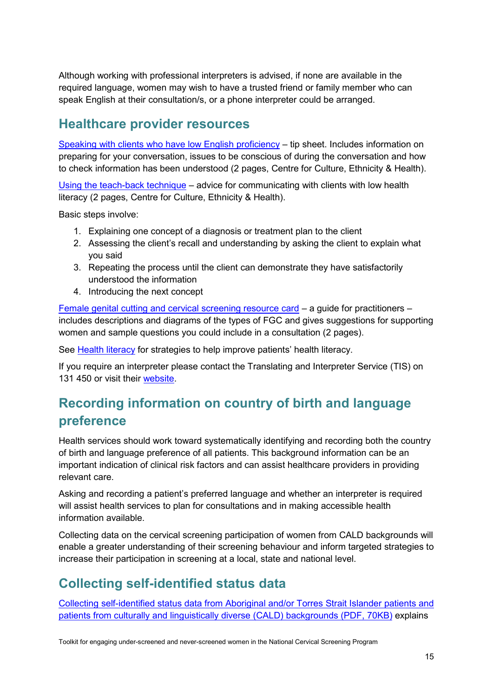Although working with professional interpreters is advised, if none are available in the required language, women may wish to have a trusted friend or family member who can speak English at their consultation/s, or a phone interpreter could be arranged.

#### **Healthcare provider resources**

[Speaking with clients who have low English proficiency](https://www.ceh.org.au/speaking-clients-low-english-proficiency/) – tip sheet. Includes information on preparing for your conversation, issues to be conscious of during the conversation and how to check information has been understood (2 pages, Centre for Culture, Ethnicity & Health).

[Using the teach-back technique](https://www.ceh.org.au/using-the-teach-back-technique/) – advice for communicating with clients with low health literacy (2 pages, Centre for Culture, Ethnicity & Health).

Basic steps involve:

- 1. Explaining one concept of a diagnosis or treatment plan to the client
- 2. Assessing the client's recall and understanding by asking the client to explain what you said
- 3. Repeating the process until the client can demonstrate they have satisfactorily understood the information
- 4. Introducing the next concept

[Female genital cutting and cervical screening resource card](https://www.cancervic.org.au/for-health-professionals/cervical-screening-providers/cervical-screening-resources) – a guide for practitioners – includes descriptions and diagrams of the types of FGC and gives suggestions for supporting women and sample questions you could include in a consultation (2 pages).

See [Health literacy](#page-33-1) for strategies to help improve patients' health literacy.

If you require an interpreter please contact the Translating and Interpreter Service (TIS) on 131 450 or visit their [website.](https://www.tisnational.gov.au/)

### **Recording information on country of birth and language preference**

Health services should work toward systematically identifying and recording both the country of birth and language preference of all patients. This background information can be an important indication of clinical risk factors and can assist healthcare providers in providing relevant care.

Asking and recording a patient's preferred language and whether an interpreter is required will assist health services to plan for consultations and in making accessible health information available.

Collecting data on the cervical screening participation of women from CALD backgrounds will enable a greater understanding of their screening behaviour and inform targeted strategies to increase their participation in screening at a local, state and national level.

### **Collecting self-identified status data**

[Collecting self-identified status data from Aboriginal and/or Torres Strait Islander patients and](https://www.cancervic.org.au/downloads/health-professionals/cervical-toolkit/collecting-self-identified-status-data-atsi-cald.pdf)  [patients from culturally and linguistically diverse \(CALD\) backgrounds](https://www.cancervic.org.au/downloads/health-professionals/cervical-toolkit/collecting-self-identified-status-data-atsi-cald.pdf) (PDF, 70KB) explains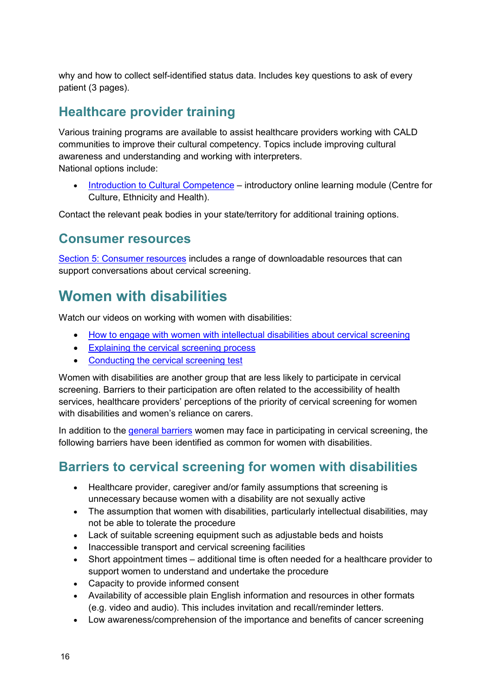why and how to collect self-identified status data. Includes key questions to ask of every patient (3 pages).

### <span id="page-19-1"></span>**Healthcare provider training**

Various training programs are available to assist healthcare providers working with CALD communities to improve their cultural competency. Topics include improving cultural awareness and understanding and working with interpreters. National options include:

• [Introduction to Cultural Competence](https://www.ceh.org.au/online-training-introduction-cultural-competence-2/) – introductory online learning module (Centre for Culture, Ethnicity and Health).

Contact the relevant peak bodies in your state/territory for additional training options.

#### **Consumer resources**

[Section 5: Consumer](#page-46-0) resources includes a range of downloadable resources that can support conversations about cervical screening.

### <span id="page-19-0"></span>**Women with disabilities**

Watch our videos on working with women with disabilities:

- How to engage with [women with intellectual disabilities about cervical screening](https://youtu.be/ZEzaj4l0vKM)
- [Explaining the cervical screening process](https://youtu.be/iqMPKi4L06Y)
- [Conducting the cervical screening test](https://youtu.be/D4xntOqheyo)

Women with disabilities are another group that are less likely to participate in cervical screening. Barriers to their participation are often related to the accessibility of health services, healthcare providers' perceptions of the priority of cervical screening for women with disabilities and women's reliance on carers.

In addition to the [general barriers](#page-5-1) women may face in participating in cervical screening, the following barriers have been identified as common for women with disabilities.

### **Barriers to cervical screening for women with disabilities**

- Healthcare provider, caregiver and/or family assumptions that screening is unnecessary because women with a disability are not sexually active
- The assumption that women with disabilities, particularly intellectual disabilities, may not be able to tolerate the procedure
- Lack of suitable screening equipment such as adjustable beds and hoists
- Inaccessible transport and cervical screening facilities
- Short appointment times additional time is often needed for a healthcare provider to support women to understand and undertake the procedure
- Capacity to provide informed consent
- Availability of accessible plain English information and resources in other formats (e.g. video and audio). This includes invitation and recall/reminder letters.
- Low awareness/comprehension of the importance and benefits of cancer screening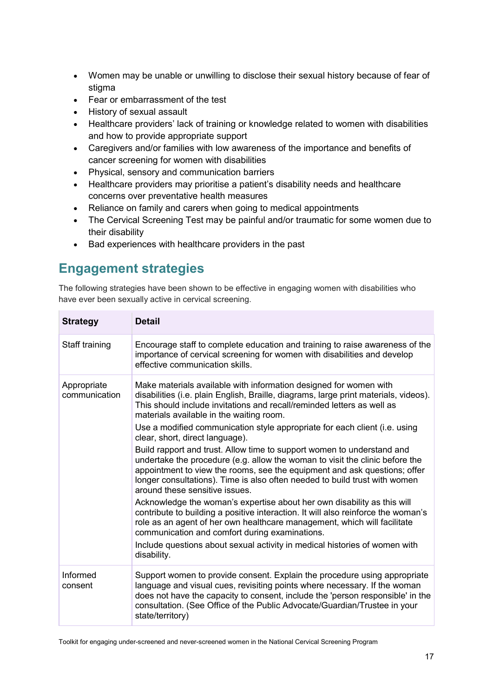- Women may be unable or unwilling to disclose their sexual history because of fear of stigma
- Fear or embarrassment of the test
- History of sexual assault
- Healthcare providers' lack of training or knowledge related to women with disabilities and how to provide appropriate support
- Caregivers and/or families with low awareness of the importance and benefits of cancer screening for women with disabilities
- Physical, sensory and communication barriers
- Healthcare providers may prioritise a patient's disability needs and healthcare concerns over preventative health measures
- Reliance on family and carers when going to medical appointments
- The Cervical Screening Test may be painful and/or traumatic for some women due to their disability
- Bad experiences with healthcare providers in the past

### **Engagement strategies**

The following strategies have been shown to be effective in engaging women with disabilities who have ever been sexually active in cervical screening.

| <b>Strategy</b>              | <b>Detail</b>                                                                                                                                                                                                                                                                                                                                                                                                                                                                                                                                                                                                                                                                                                                                                                                                                                                                                                                                                                                                                                                                                                                                      |
|------------------------------|----------------------------------------------------------------------------------------------------------------------------------------------------------------------------------------------------------------------------------------------------------------------------------------------------------------------------------------------------------------------------------------------------------------------------------------------------------------------------------------------------------------------------------------------------------------------------------------------------------------------------------------------------------------------------------------------------------------------------------------------------------------------------------------------------------------------------------------------------------------------------------------------------------------------------------------------------------------------------------------------------------------------------------------------------------------------------------------------------------------------------------------------------|
| Staff training               | Encourage staff to complete education and training to raise awareness of the<br>importance of cervical screening for women with disabilities and develop<br>effective communication skills.                                                                                                                                                                                                                                                                                                                                                                                                                                                                                                                                                                                                                                                                                                                                                                                                                                                                                                                                                        |
| Appropriate<br>communication | Make materials available with information designed for women with<br>disabilities (i.e. plain English, Braille, diagrams, large print materials, videos).<br>This should include invitations and recall/reminded letters as well as<br>materials available in the waiting room.<br>Use a modified communication style appropriate for each client (i.e. using<br>clear, short, direct language).<br>Build rapport and trust. Allow time to support women to understand and<br>undertake the procedure (e.g. allow the woman to visit the clinic before the<br>appointment to view the rooms, see the equipment and ask questions; offer<br>longer consultations). Time is also often needed to build trust with women<br>around these sensitive issues.<br>Acknowledge the woman's expertise about her own disability as this will<br>contribute to building a positive interaction. It will also reinforce the woman's<br>role as an agent of her own healthcare management, which will facilitate<br>communication and comfort during examinations.<br>Include questions about sexual activity in medical histories of women with<br>disability. |
| Informed<br>consent          | Support women to provide consent. Explain the procedure using appropriate<br>language and visual cues, revisiting points where necessary. If the woman<br>does not have the capacity to consent, include the 'person responsible' in the<br>consultation. (See Office of the Public Advocate/Guardian/Trustee in your<br>state/territory)                                                                                                                                                                                                                                                                                                                                                                                                                                                                                                                                                                                                                                                                                                                                                                                                          |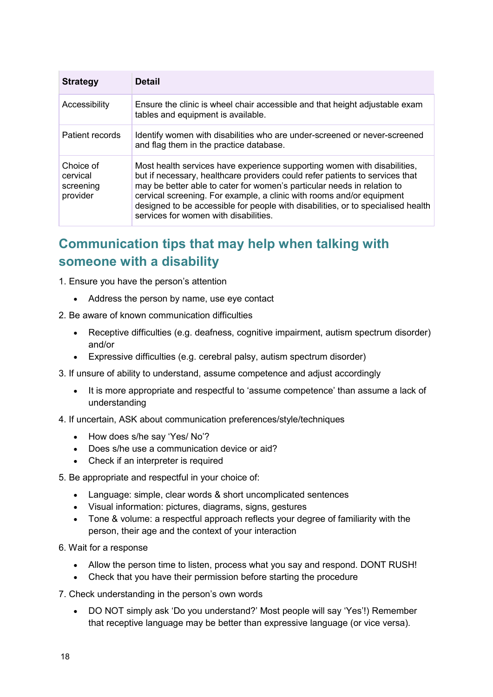| <b>Strategy</b>                                | <b>Detail</b>                                                                                                                                                                                                                                                                                                                                                                                                                             |
|------------------------------------------------|-------------------------------------------------------------------------------------------------------------------------------------------------------------------------------------------------------------------------------------------------------------------------------------------------------------------------------------------------------------------------------------------------------------------------------------------|
| Accessibility                                  | Ensure the clinic is wheel chair accessible and that height adjustable exam<br>tables and equipment is available.                                                                                                                                                                                                                                                                                                                         |
| Patient records                                | Identify women with disabilities who are under-screened or never-screened<br>and flag them in the practice database.                                                                                                                                                                                                                                                                                                                      |
| Choice of<br>cervical<br>screening<br>provider | Most health services have experience supporting women with disabilities,<br>but if necessary, healthcare providers could refer patients to services that<br>may be better able to cater for women's particular needs in relation to<br>cervical screening. For example, a clinic with rooms and/or equipment<br>designed to be accessible for people with disabilities, or to specialised health<br>services for women with disabilities. |

### **Communication tips that may help when talking with someone with a disability**

- 1. Ensure you have the person's attention
	- Address the person by name, use eye contact
- 2. Be aware of known communication difficulties
	- Receptive difficulties (e.g. deafness, cognitive impairment, autism spectrum disorder) and/or
	- Expressive difficulties (e.g. cerebral palsy, autism spectrum disorder)
- 3. If unsure of ability to understand, assume competence and adjust accordingly
	- It is more appropriate and respectful to 'assume competence' than assume a lack of understanding
- 4. If uncertain, ASK about communication preferences/style/techniques
	- How does s/he say 'Yes/ No'?
	- Does s/he use a communication device or aid?
	- Check if an interpreter is required
- 5. Be appropriate and respectful in your choice of:
	- Language: simple, clear words & short uncomplicated sentences
	- Visual information: pictures, diagrams, signs, gestures
	- Tone & volume: a respectful approach reflects your degree of familiarity with the person, their age and the context of your interaction
- 6. Wait for a response
	- Allow the person time to listen, process what you say and respond. DONT RUSH!
	- Check that you have their permission before starting the procedure
- 7. Check understanding in the person's own words
	- DO NOT simply ask 'Do you understand?' Most people will say 'Yes'!) Remember that receptive language may be better than expressive language (or vice versa).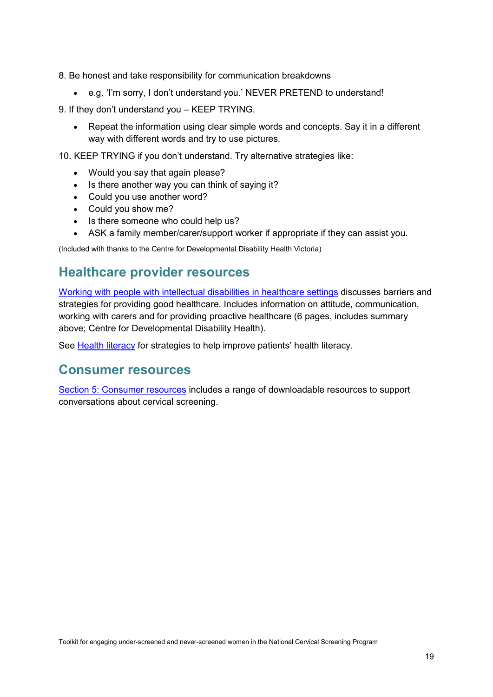8. Be honest and take responsibility for communication breakdowns

- e.g. 'I'm sorry, I don't understand you.' NEVER PRETEND to understand!
- 9. If they don't understand you KEEP TRYING.
	- Repeat the information using clear simple words and concepts. Say it in a different way with different words and try to use pictures.

10. KEEP TRYING if you don't understand. Try alternative strategies like:

- Would you say that again please?
- Is there another way you can think of saying it?
- Could you use another word?
- Could you show me?
- Is there someone who could help us?
- ASK a family member/carer/support worker if appropriate if they can assist you.

(Included with thanks to the Centre for Developmental Disability Health Victoria)

#### **Healthcare provider resources**

[Working with people with intellectual disabilities in healthcare settings](http://www.cddh.monashhealth.org/index.php/resources/) discusses barriers and strategies for providing good healthcare. Includes information on attitude, communication, working with carers and for providing proactive healthcare (6 pages, includes summary above; Centre for Developmental Disability Health).

See [Health literacy](#page-33-1) for strategies to help improve patients' health literacy.

#### **Consumer resources**

[Section 5: Consumer resources](#page-46-0) includes a range of downloadable resources to support conversations about cervical screening.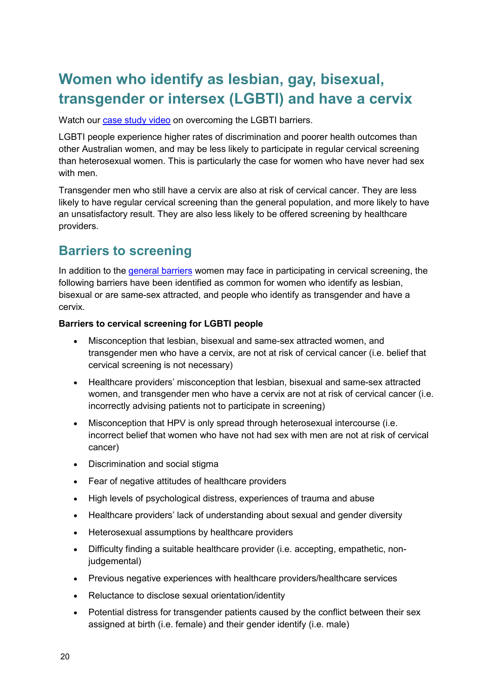### <span id="page-23-0"></span>**Women who identify as lesbian, gay, bisexual, transgender or intersex (LGBTI) and have a cervix**

Watch our [case study video](https://youtu.be/fvwJWu3DbuQ) on overcoming the LGBTI barriers.

LGBTI people experience higher rates of discrimination and poorer health outcomes than other Australian women, and may be less likely to participate in regular cervical screening than heterosexual women. This is particularly the case for women who have never had sex with men

Transgender men who still have a cervix are also at risk of cervical cancer. They are less likely to have regular cervical screening than the general population, and more likely to have an unsatisfactory result. They are also less likely to be offered screening by healthcare providers.

### **Barriers to screening**

In addition to the [general barriers](#page-5-1) women may face in participating in cervical screening, the following barriers have been identified as common for women who identify as lesbian, bisexual or are same-sex attracted, and people who identify as transgender and have a cervix.

#### **Barriers to cervical screening for LGBTI people**

- Misconception that lesbian, bisexual and same-sex attracted women, and transgender men who have a cervix, are not at risk of cervical cancer (i.e. belief that cervical screening is not necessary)
- Healthcare providers' misconception that lesbian, bisexual and same-sex attracted women, and transgender men who have a cervix are not at risk of cervical cancer (i.e. incorrectly advising patients not to participate in screening)
- Misconception that HPV is only spread through heterosexual intercourse (i.e. incorrect belief that women who have not had sex with men are not at risk of cervical cancer)
- Discrimination and social stigma
- Fear of negative attitudes of healthcare providers
- High levels of psychological distress, experiences of trauma and abuse
- Healthcare providers' lack of understanding about sexual and gender diversity
- Heterosexual assumptions by healthcare providers
- Difficulty finding a suitable healthcare provider (i.e. accepting, empathetic, nonjudgemental)
- Previous negative experiences with healthcare providers/healthcare services
- Reluctance to disclose sexual orientation/identity
- Potential distress for transgender patients caused by the conflict between their sex assigned at birth (i.e. female) and their gender identify (i.e. male)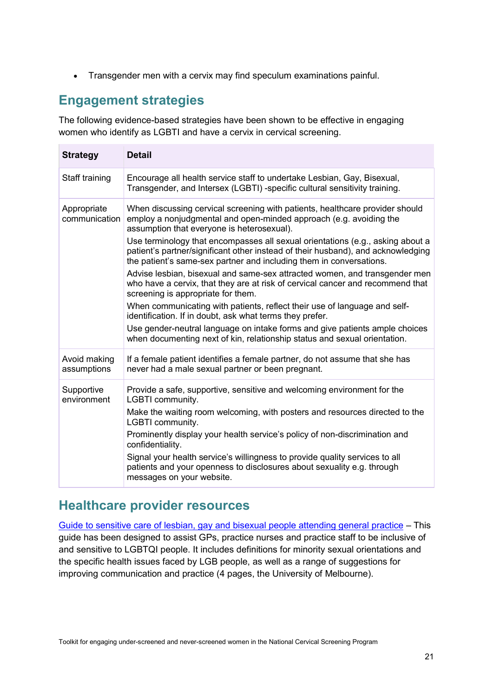• Transgender men with a cervix may find speculum examinations painful.

#### **Engagement strategies**

The following evidence-based strategies have been shown to be effective in engaging women who identify as LGBTI and have a cervix in cervical screening.

| <b>Strategy</b>              | <b>Detail</b>                                                                                                                                                                                                                                                                                                                                                                                                                                                                          |
|------------------------------|----------------------------------------------------------------------------------------------------------------------------------------------------------------------------------------------------------------------------------------------------------------------------------------------------------------------------------------------------------------------------------------------------------------------------------------------------------------------------------------|
| Staff training               | Encourage all health service staff to undertake Lesbian, Gay, Bisexual,<br>Transgender, and Intersex (LGBTI) -specific cultural sensitivity training.                                                                                                                                                                                                                                                                                                                                  |
| Appropriate<br>communication | When discussing cervical screening with patients, healthcare provider should<br>employ a nonjudgmental and open-minded approach (e.g. avoiding the<br>assumption that everyone is heterosexual).<br>Use terminology that encompasses all sexual orientations (e.g., asking about a<br>patient's partner/significant other instead of their husband), and acknowledging                                                                                                                 |
|                              | the patient's same-sex partner and including them in conversations.<br>Advise lesbian, bisexual and same-sex attracted women, and transgender men<br>who have a cervix, that they are at risk of cervical cancer and recommend that<br>screening is appropriate for them.                                                                                                                                                                                                              |
|                              | When communicating with patients, reflect their use of language and self-<br>identification. If in doubt, ask what terms they prefer.<br>Use gender-neutral language on intake forms and give patients ample choices<br>when documenting next of kin, relationship status and sexual orientation.                                                                                                                                                                                      |
| Avoid making<br>assumptions  | If a female patient identifies a female partner, do not assume that she has<br>never had a male sexual partner or been pregnant.                                                                                                                                                                                                                                                                                                                                                       |
| Supportive<br>environment    | Provide a safe, supportive, sensitive and welcoming environment for the<br>LGBTI community.<br>Make the waiting room welcoming, with posters and resources directed to the<br>LGBTI community.<br>Prominently display your health service's policy of non-discrimination and<br>confidentiality.<br>Signal your health service's willingness to provide quality services to all<br>patients and your openness to disclosures about sexuality e.g. through<br>messages on your website. |

#### **Healthcare provider resources**

[Guide to sensitive care of lesbian, gay and bisexual people attending general practice](https://www2.health.vic.gov.au/about/populations/lgbti-health/rainbow-equality/building-inclusive-services/general-practice) – This guide has been designed to assist GPs, practice nurses and practice staff to be inclusive of and sensitive to LGBTQI people. It includes definitions for minority sexual orientations and the specific health issues faced by LGB people, as well as a range of suggestions for improving communication and practice (4 pages, the University of Melbourne).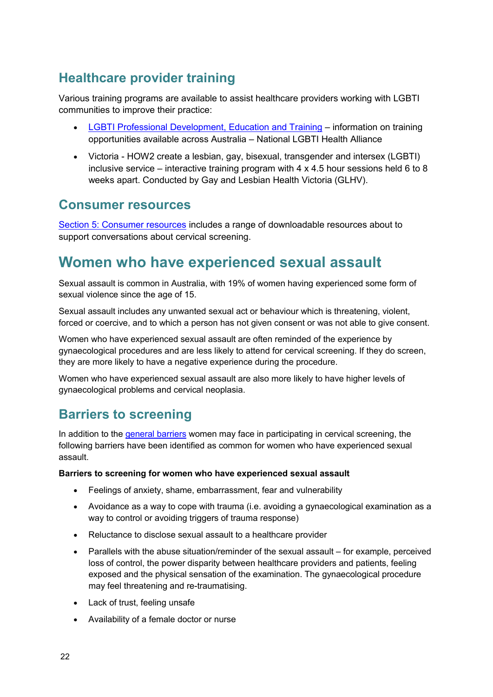### **Healthcare provider training**

Various training programs are available to assist healthcare providers working with LGBTI communities to improve their practice:

- [LGBTI Professional Development, Education and Training](http://lgbtihealth.org.au/training/) information on training opportunities available across Australia – National LGBTI Health Alliance
- Victoria HOW2 create a lesbian, gay, bisexual, transgender and intersex (LGBTI) inclusive service – interactive training program with  $4 \times 4.5$  hour sessions held 6 to 8 weeks apart. Conducted by Gay and Lesbian Health Victoria (GLHV).

#### **Consumer resources**

[Section 5: Consumer resources](#page-46-0) includes a range of downloadable resources about to support conversations about cervical screening.

### <span id="page-25-0"></span>**Women who have experienced sexual assault**

Sexual assault is common in Australia, with 19% of women having experienced some form of sexual violence since the age of 15.

Sexual assault includes any unwanted sexual act or behaviour which is threatening, violent, forced or coercive, and to which a person has not given consent or was not able to give consent.

Women who have experienced sexual assault are often reminded of the experience by gynaecological procedures and are less likely to attend for cervical screening. If they do screen, they are more likely to have a negative experience during the procedure.

Women who have experienced sexual assault are also more likely to have higher levels of gynaecological problems and cervical neoplasia.

### **Barriers to screening**

In addition to the [general barriers](#page-5-1) women may face in participating in cervical screening, the following barriers have been identified as common for women who have experienced sexual assault.

#### **Barriers to screening for women who have experienced sexual assault**

- Feelings of anxiety, shame, embarrassment, fear and vulnerability
- Avoidance as a way to cope with trauma (i.e. avoiding a gynaecological examination as a way to control or avoiding triggers of trauma response)
- Reluctance to disclose sexual assault to a healthcare provider
- Parallels with the abuse situation/reminder of the sexual assault for example, perceived loss of control, the power disparity between healthcare providers and patients, feeling exposed and the physical sensation of the examination. The gynaecological procedure may feel threatening and re-traumatising.
- Lack of trust, feeling unsafe
- Availability of a female doctor or nurse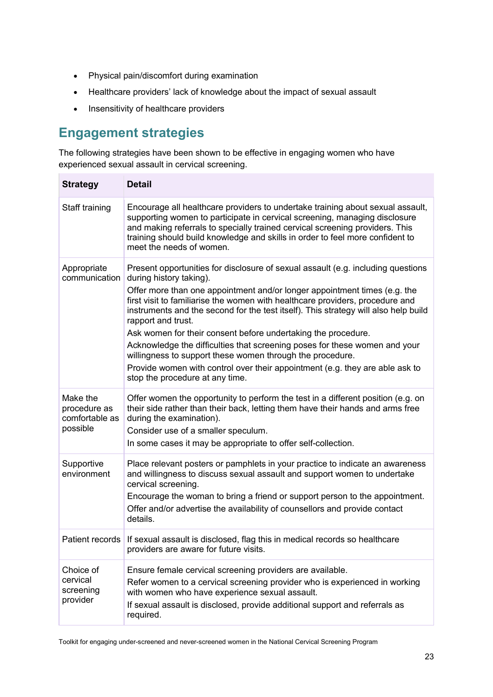- Physical pain/discomfort during examination
- Healthcare providers' lack of knowledge about the impact of sexual assault
- Insensitivity of healthcare providers

### **Engagement strategies**

The following strategies have been shown to be effective in engaging women who have experienced sexual assault in cervical screening.

| <b>Strategy</b>                                        | <b>Detail</b>                                                                                                                                                                                                                                                                                                                                                                                                                                                                                                                                                                                                                                                                                                         |
|--------------------------------------------------------|-----------------------------------------------------------------------------------------------------------------------------------------------------------------------------------------------------------------------------------------------------------------------------------------------------------------------------------------------------------------------------------------------------------------------------------------------------------------------------------------------------------------------------------------------------------------------------------------------------------------------------------------------------------------------------------------------------------------------|
| Staff training                                         | Encourage all healthcare providers to undertake training about sexual assault,<br>supporting women to participate in cervical screening, managing disclosure<br>and making referrals to specially trained cervical screening providers. This<br>training should build knowledge and skills in order to feel more confident to<br>meet the needs of women.                                                                                                                                                                                                                                                                                                                                                             |
| Appropriate<br>communication                           | Present opportunities for disclosure of sexual assault (e.g. including questions<br>during history taking).<br>Offer more than one appointment and/or longer appointment times (e.g. the<br>first visit to familiarise the women with healthcare providers, procedure and<br>instruments and the second for the test itself). This strategy will also help build<br>rapport and trust.<br>Ask women for their consent before undertaking the procedure.<br>Acknowledge the difficulties that screening poses for these women and your<br>willingness to support these women through the procedure.<br>Provide women with control over their appointment (e.g. they are able ask to<br>stop the procedure at any time. |
| Make the<br>procedure as<br>comfortable as<br>possible | Offer women the opportunity to perform the test in a different position (e.g. on<br>their side rather than their back, letting them have their hands and arms free<br>during the examination).<br>Consider use of a smaller speculum.<br>In some cases it may be appropriate to offer self-collection.                                                                                                                                                                                                                                                                                                                                                                                                                |
| Supportive<br>environment                              | Place relevant posters or pamphlets in your practice to indicate an awareness<br>and willingness to discuss sexual assault and support women to undertake<br>cervical screening.<br>Encourage the woman to bring a friend or support person to the appointment.<br>Offer and/or advertise the availability of counsellors and provide contact<br>details.                                                                                                                                                                                                                                                                                                                                                             |
|                                                        | Patient records   If sexual assault is disclosed, flag this in medical records so healthcare<br>providers are aware for future visits.                                                                                                                                                                                                                                                                                                                                                                                                                                                                                                                                                                                |
| Choice of<br>cervical<br>screening<br>provider         | Ensure female cervical screening providers are available.<br>Refer women to a cervical screening provider who is experienced in working<br>with women who have experience sexual assault.<br>If sexual assault is disclosed, provide additional support and referrals as<br>required.                                                                                                                                                                                                                                                                                                                                                                                                                                 |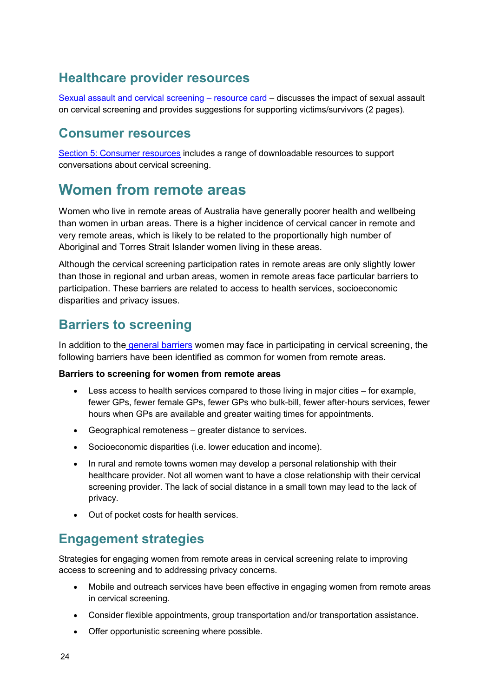#### **Healthcare provider resources**

[Sexual assault and cervical screening –](https://www.cancervic.org.au/for-health-professionals/cervical-screening-providers/cervical-screening-resources) resource card – discusses the impact of sexual assault on cervical screening and provides suggestions for supporting victims/survivors (2 pages).

#### **Consumer resources**

[Section 5: Consumer resources](#page-46-0) includes a range of downloadable resources to support conversations about cervical screening.

### <span id="page-27-0"></span>**Women from remote areas**

Women who live in remote areas of Australia have generally poorer health and wellbeing than women in urban areas. There is a higher incidence of cervical cancer in remote and very remote areas, which is likely to be related to the proportionally high number of Aboriginal and Torres Strait Islander women living in these areas.

Although the cervical screening participation rates in remote areas are only slightly lower than those in regional and urban areas, women in remote areas face particular barriers to participation. These barriers are related to access to health services, socioeconomic disparities and privacy issues.

#### **Barriers to screening**

In addition to the [general barriers](#page-5-1) women may face in participating in cervical screening, the following barriers have been identified as common for women from remote areas.

#### **Barriers to screening for women from remote areas**

- Less access to health services compared to those living in major cities for example, fewer GPs, fewer female GPs, fewer GPs who bulk-bill, fewer after-hours services, fewer hours when GPs are available and greater waiting times for appointments.
- Geographical remoteness greater distance to services.
- Socioeconomic disparities (i.e. lower education and income).
- In rural and remote towns women may develop a personal relationship with their healthcare provider. Not all women want to have a close relationship with their cervical screening provider. The lack of social distance in a small town may lead to the lack of privacy.
- Out of pocket costs for health services.

#### **Engagement strategies**

Strategies for engaging women from remote areas in cervical screening relate to improving access to screening and to addressing privacy concerns.

- Mobile and outreach services have been effective in engaging women from remote areas in cervical screening.
- Consider flexible appointments, group transportation and/or transportation assistance.
- Offer opportunistic screening where possible.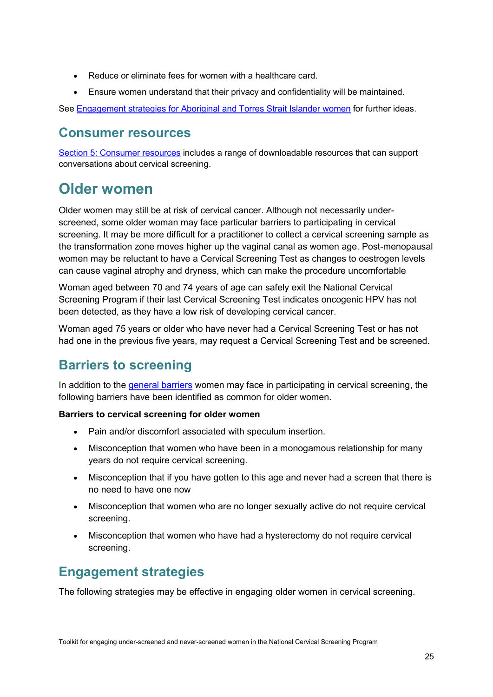- Reduce or eliminate fees for women with a healthcare card.
- Ensure women understand that their privacy and confidentiality will be maintained.

See [Engagement strategies for Aboriginal and Torres Strait Islander women](#page-10-0) for further ideas.

#### **Consumer resources**

[Section 5: Consumer resources](#page-46-0) includes a range of downloadable resources that can support conversations about cervical screening.

### <span id="page-28-0"></span>**Older women**

Older women may still be at risk of cervical cancer. Although not necessarily underscreened, some older woman may face particular barriers to participating in cervical screening. It may be more difficult for a practitioner to collect a cervical screening sample as the transformation zone moves higher up the vaginal canal as women age. Post-menopausal women may be reluctant to have a Cervical Screening Test as changes to oestrogen levels can cause vaginal atrophy and dryness, which can make the procedure uncomfortable

Woman aged between 70 and 74 years of age can safely exit the National Cervical Screening Program if their last Cervical Screening Test indicates oncogenic HPV has not been detected, as they have a low risk of developing cervical cancer.

Woman aged 75 years or older who have never had a Cervical Screening Test or has not had one in the previous five years, may request a Cervical Screening Test and be screened.

### **Barriers to screening**

In addition to the [general barriers](#page-5-1) women may face in participating in cervical screening, the following barriers have been identified as common for older women.

#### **Barriers to cervical screening for older women**

- Pain and/or discomfort associated with speculum insertion.
- Misconception that women who have been in a monogamous relationship for many years do not require cervical screening.
- Misconception that if you have gotten to this age and never had a screen that there is no need to have one now
- Misconception that women who are no longer sexually active do not require cervical screening.
- Misconception that women who have had a hysterectomy do not require cervical screening.

#### **Engagement strategies**

The following strategies may be effective in engaging older women in cervical screening.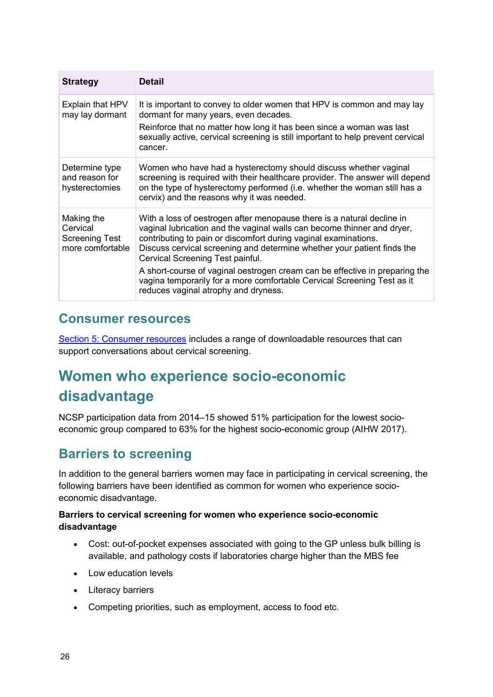| <b>Strategy</b>                                                     | <b>Detail</b>                                                                                                                                                                                                                                                                                                                                                                                                                                                                                                                         |
|---------------------------------------------------------------------|---------------------------------------------------------------------------------------------------------------------------------------------------------------------------------------------------------------------------------------------------------------------------------------------------------------------------------------------------------------------------------------------------------------------------------------------------------------------------------------------------------------------------------------|
| Explain that HPV<br>may lay dormant                                 | It is important to convey to older women that HPV is common and may lay<br>dormant for many years, even decades.<br>Reinforce that no matter how long it has been since a woman was last<br>sexually active, cervical screening is still important to help prevent cervical<br>cancer.                                                                                                                                                                                                                                                |
| Determine type<br>and reason for<br>hysterectomies                  | Women who have had a hysterectomy should discuss whether vaginal<br>screening is required with their healthcare provider. The answer will depend<br>on the type of hysterectomy performed (i.e. whether the woman still has a<br>cervix) and the reasons why it was needed.                                                                                                                                                                                                                                                           |
| Making the<br>Cervical<br><b>Screening Test</b><br>more comfortable | With a loss of oestrogen after menopause there is a natural decline in<br>vaginal lubrication and the vaginal walls can become thinner and dryer,<br>contributing to pain or discomfort during vaginal examinations.<br>Discuss cervical screening and determine whether your patient finds the<br>Cervical Screening Test painful.<br>A short-course of vaginal oestrogen cream can be effective in preparing the<br>vagina temporarily for a more comfortable Cervical Screening Test as it<br>reduces vaginal atrophy and dryness. |

#### **Consumer resources**

[Section 5: Consumer resources](#page-46-0) includes a range of downloadable resources that can support conversations about cervical screening.

### <span id="page-29-0"></span>**Women who experience socio-economic disadvantage**

NCSP participation data from 2014–15 showed 51% participation for the lowest socioeconomic group compared to 63% for the highest socio-economic group (AIHW 2017).

### **Barriers to screening**

In addition to the general barriers women may face in participating in cervical screening, the following barriers have been identified as common for women who experience socioeconomic disadvantage.

#### **Barriers to cervical screening for women who experience socio-economic disadvantage**

- Cost: out-of-pocket expenses associated with going to the GP unless bulk billing is available, and pathology costs if laboratories charge higher than the MBS fee
- Low education levels
- Literacy barriers
- Competing priorities, such as employment, access to food etc.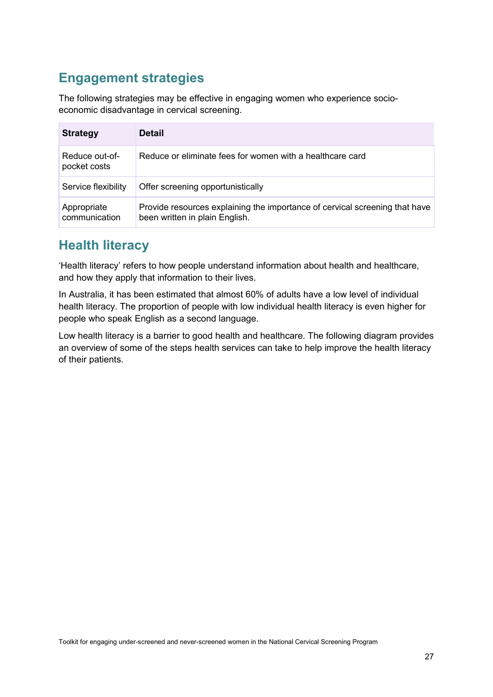### **Engagement strategies**

The following strategies may be effective in engaging women who experience socioeconomic disadvantage in cervical screening.

| <b>Strategy</b>                | <b>Detail</b>                                                                                                 |
|--------------------------------|---------------------------------------------------------------------------------------------------------------|
| Reduce out-of-<br>pocket costs | Reduce or eliminate fees for women with a healthcare card                                                     |
| Service flexibility            | Offer screening opportunistically                                                                             |
| Appropriate<br>communication   | Provide resources explaining the importance of cervical screening that have<br>been written in plain English. |

#### **Health literacy**

'Health literacy' refers to how people understand information about health and healthcare, and how they apply that information to their lives.

In Australia, it has been estimated that almost 60% of adults have a low level of individual health literacy. The proportion of people with low individual health literacy is even higher for people who speak English as a second language.

Low health literacy is a barrier to good health and healthcare. The following diagram provides an overview of some of the steps health services can take to help improve the health literacy of their patients.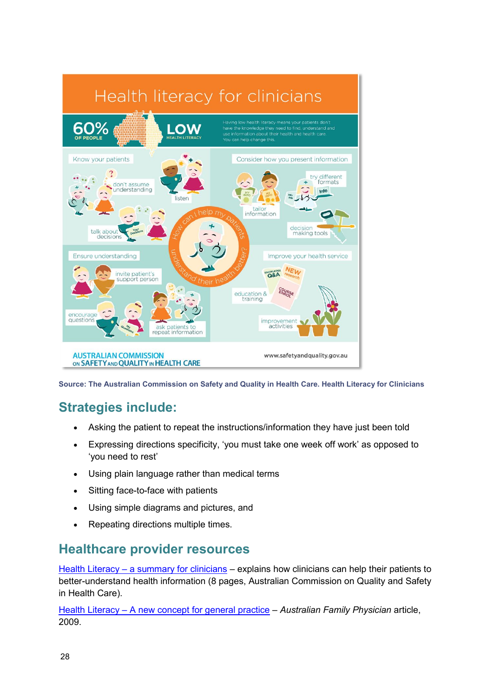

**Source: The Australian Commission on Safety and Quality in Health Care. Health Literacy for Clinicians**

### **Strategies include:**

- Asking the patient to repeat the instructions/information they have just been told
- Expressing directions specificity, 'you must take one week off work' as opposed to 'you need to rest'
- Using plain language rather than medical terms
- Sitting face-to-face with patients
- Using simple diagrams and pictures, and
- Repeating directions multiple times.

#### **Healthcare provider resources**

Health Literacy – [a summary for clinicians](https://www.safetyandquality.gov.au/publications-and-resources/resource-library/health-literacy-summary-clinicians) – explains how clinicians can help their patients to better-understand health information (8 pages, Australian Commission on Quality and Safety in Health Care).

Health Literacy – [A new concept for general practice](https://www.racgp.org.au/afp/2009/march/health-literacy/) – *Australian Family Physician* article, 2009.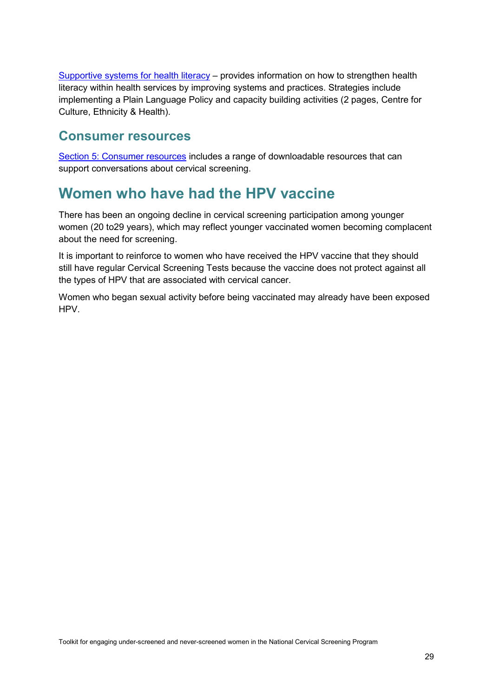[Supportive systems for health literacy](https://www.ceh.org.au/supportive-sysealth-literacy/) – provides information on how to strengthen health literacy within health services by improving systems and practices. Strategies include implementing a Plain Language Policy and capacity building activities (2 pages, Centre for Culture, Ethnicity & Health).

#### **Consumer resources**

[Section 5: Consumer resources](#page-46-0) includes a range of downloadable resources that can support conversations about cervical screening.

### <span id="page-32-0"></span>**Women who have had the HPV vaccine**

There has been an ongoing decline in cervical screening participation among younger women (20 to29 years), which may reflect younger vaccinated women becoming complacent about the need for screening.

It is important to reinforce to women who have received the HPV vaccine that they should still have regular Cervical Screening Tests because the vaccine does not protect against all the types of HPV that are associated with cervical cancer.

Women who began sexual activity before being vaccinated may already have been exposed HPV.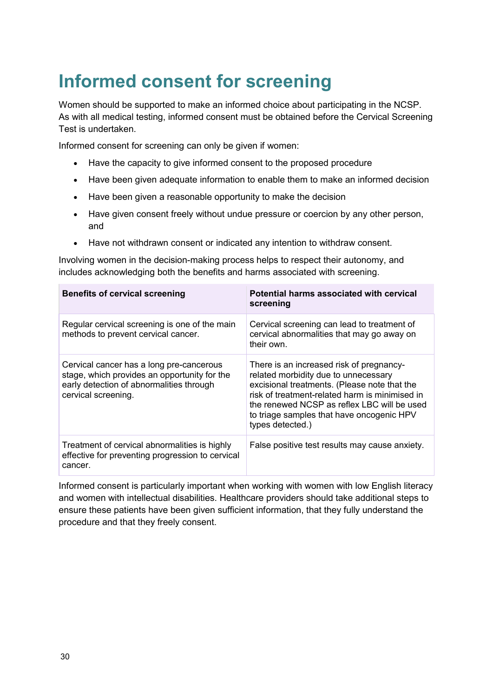# <span id="page-33-0"></span>**Informed consent for screening**

Women should be supported to make an informed choice about participating in the NCSP. As with all medical testing, informed consent must be obtained before the Cervical Screening Test is undertaken.

Informed consent for screening can only be given if women:

- Have the capacity to give informed consent to the proposed procedure
- Have been given adequate information to enable them to make an informed decision
- Have been given a reasonable opportunity to make the decision
- Have given consent freely without undue pressure or coercion by any other person, and
- Have not withdrawn consent or indicated any intention to withdraw consent.

Involving women in the decision-making process helps to respect their autonomy, and includes acknowledging both the benefits and harms associated with screening.

| <b>Benefits of cervical screening</b>                                                                                                                       | Potential harms associated with cervical<br>screening                                                                                                                                                                                                                                              |  |
|-------------------------------------------------------------------------------------------------------------------------------------------------------------|----------------------------------------------------------------------------------------------------------------------------------------------------------------------------------------------------------------------------------------------------------------------------------------------------|--|
| Regular cervical screening is one of the main<br>methods to prevent cervical cancer.                                                                        | Cervical screening can lead to treatment of<br>cervical abnormalities that may go away on<br>their own.                                                                                                                                                                                            |  |
| Cervical cancer has a long pre-cancerous<br>stage, which provides an opportunity for the<br>early detection of abnormalities through<br>cervical screening. | There is an increased risk of pregnancy-<br>related morbidity due to unnecessary<br>excisional treatments. (Please note that the<br>risk of treatment-related harm is minimised in<br>the renewed NCSP as reflex LBC will be used<br>to triage samples that have oncogenic HPV<br>types detected.) |  |
| Treatment of cervical abnormalities is highly<br>effective for preventing progression to cervical<br>cancer.                                                | False positive test results may cause anxiety.                                                                                                                                                                                                                                                     |  |

<span id="page-33-1"></span>Informed consent is particularly important when working with women with low English literacy and women with intellectual disabilities. Healthcare providers should take additional steps to ensure these patients have been given sufficient information, that they fully understand the procedure and that they freely consent.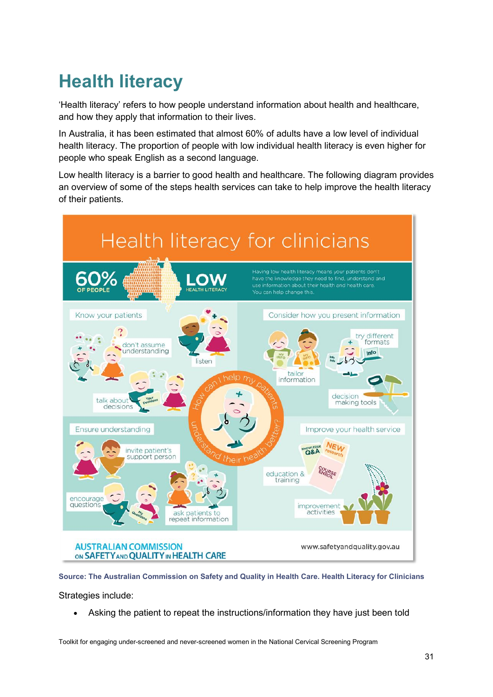# <span id="page-34-0"></span>**Health literacy**

'Health literacy' refers to how people understand information about health and healthcare, and how they apply that information to their lives.

In Australia, it has been estimated that almost 60% of adults have a low level of individual health literacy. The proportion of people with low individual health literacy is even higher for people who speak English as a second language.

Low health literacy is a barrier to good health and healthcare. The following diagram provides an overview of some of the steps health services can take to help improve the health literacy of their patients.



**Source: The Australian Commission on Safety and Quality in Health Care. Health Literacy for Clinicians** Strategies include:

• Asking the patient to repeat the instructions/information they have just been told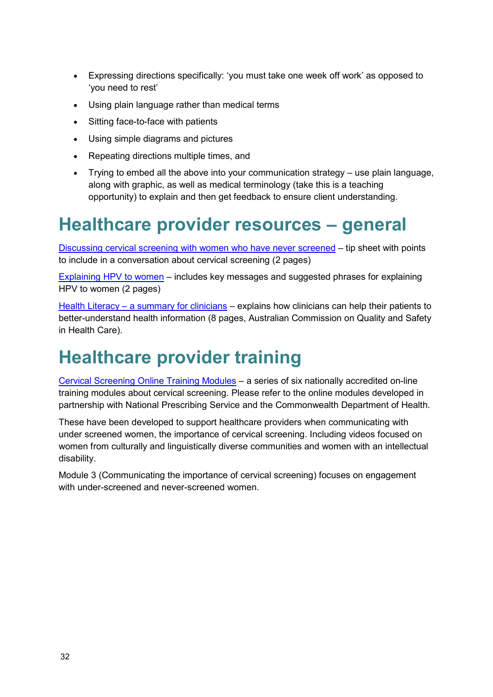- Expressing directions specifically: 'you must take one week off work' as opposed to 'you need to rest'
- Using plain language rather than medical terms
- Sitting face-to-face with patients
- Using simple diagrams and pictures
- Repeating directions multiple times, and
- Trying to embed all the above into your communication strategy use plain language, along with graphic, as well as medical terminology (take this is a teaching opportunity) to explain and then get feedback to ensure client understanding.

### <span id="page-35-0"></span>**Healthcare provider resources – general**

[Discussing cervical screening with women who have never screened](https://www.cancervic.org.au/for-health-professionals/cervical-screening-providers/cervical-screening-toolkit) – tip sheet with points to include in a conversation about cervical screening (2 pages)

[Explaining HPV to women](https://www.cancervic.org.au/for-health-professionals/cervical-screening-providers/cervical-screening-toolkit) – includes key messages and suggested phrases for explaining HPV to women (2 pages)

Health Literacy – [a summary for clinicians](https://www.safetyandquality.gov.au/publications-and-resources/resource-library/health-literacy-summary-clinicians) – explains how clinicians can help their patients to better-understand health information (8 pages, Australian Commission on Quality and Safety in Health Care).

## <span id="page-35-1"></span>**Healthcare provider training**

[Cervical Screening Online Training Modules](https://learn.nps.org.au/mod/page/view.php?id=7804) – a series of six nationally accredited on-line training modules about cervical screening. Please refer to the online modules developed in partnership with National Prescribing Service and the Commonwealth Department of Health.

These have been developed to support healthcare providers when communicating with under screened women, the importance of cervical screening. Including videos focused on women from culturally and linguistically diverse communities and women with an intellectual disability.

Module 3 (Communicating the importance of cervical screening) focuses on engagement with under-screened and never-screened women.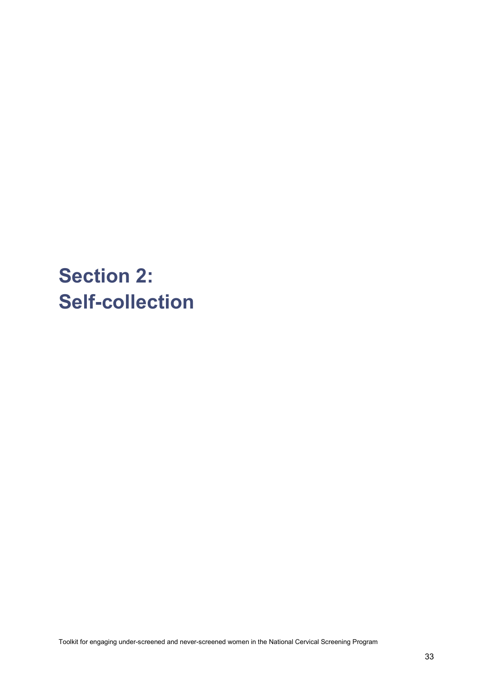# <span id="page-36-0"></span>**Section 2: Self-collection**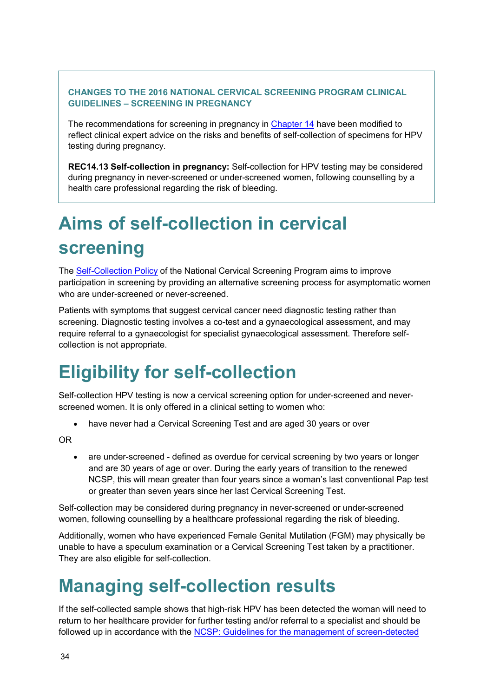#### **CHANGES TO THE 2016 NATIONAL CERVICAL SCREENING PROGRAM CLINICAL GUIDELINES – SCREENING IN PREGNANCY**

The recommendations for screening in pregnancy in [Chapter 14](https://wiki.cancer.org.au/australia/Clinical_question:Screening_in_pregnancy) have been modified to reflect clinical expert advice on the risks and benefits of self-collection of specimens for HPV testing during pregnancy.

**REC14.13 Self-collection in pregnancy:** Self-collection for HPV testing may be considered during pregnancy in never-screened or under-screened women, following counselling by a health care professional regarding the risk of bleeding.

# <span id="page-37-0"></span>**Aims of self-collection in cervical screening**

The [Self-Collection Policy](https://health.gov.au/resources/publications/national-cervical-screening-program-self-collection-policy) of the National Cervical Screening Program aims to improve participation in screening by providing an alternative screening process for asymptomatic women who are under-screened or never-screened.

Patients with symptoms that suggest cervical cancer need diagnostic testing rather than screening. Diagnostic testing involves a co-test and a gynaecological assessment, and may require referral to a gynaecologist for specialist gynaecological assessment. Therefore selfcollection is not appropriate.

# <span id="page-37-1"></span>**Eligibility for self-collection**

Self-collection HPV testing is now a cervical screening option for under-screened and neverscreened women. It is only offered in a clinical setting to women who:

• have never had a Cervical Screening Test and are aged 30 years or over

OR

• are under-screened - defined as overdue for cervical screening by two years or longer and are 30 years of age or over. During the early years of transition to the renewed NCSP, this will mean greater than four years since a woman's last conventional Pap test or greater than seven years since her last Cervical Screening Test.

Self-collection may be considered during pregnancy in never-screened or under-screened women, following counselling by a healthcare professional regarding the risk of bleeding.

Additionally, women who have experienced Female Genital Mutilation (FGM) may physically be unable to have a speculum examination or a Cervical Screening Test taken by a practitioner. They are also eligible for self-collection.

# <span id="page-37-2"></span>**Managing self-collection results**

If the self-collected sample shows that high-risk HPV has been detected the woman will need to return to her healthcare provider for further testing and/or referral to a specialist and should be followed up in accordance with the [NCSP: Guidelines for the management of screen-detected](http://wiki.cancer.org.au/australia/Guidelines:Cervical_cancer/Screening)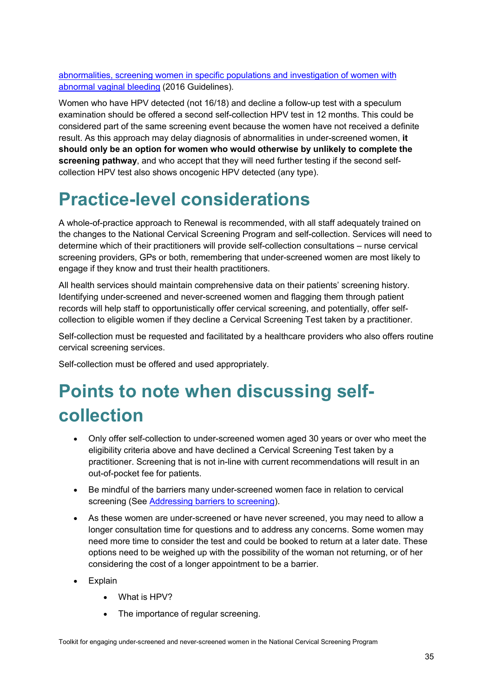[abnormalities, screening women in specific populations and investigation of women with](http://wiki.cancer.org.au/australia/Guidelines:Cervical_cancer/Screening)  [abnormal vaginal bleeding](http://wiki.cancer.org.au/australia/Guidelines:Cervical_cancer/Screening) (2016 Guidelines).

Women who have HPV detected (not 16/18) and decline a follow-up test with a speculum examination should be offered a second self-collection HPV test in 12 months. This could be considered part of the same screening event because the women have not received a definite result. As this approach may delay diagnosis of abnormalities in under-screened women, **it should only be an option for women who would otherwise by unlikely to complete the screening pathway**, and who accept that they will need further testing if the second selfcollection HPV test also shows oncogenic HPV detected (any type).

## <span id="page-38-0"></span>**Practice-level considerations**

A whole-of-practice approach to Renewal is recommended, with all staff adequately trained on the changes to the National Cervical Screening Program and self-collection. Services will need to determine which of their practitioners will provide self-collection consultations – nurse cervical screening providers, GPs or both, remembering that under-screened women are most likely to engage if they know and trust their health practitioners.

All health services should maintain comprehensive data on their patients' screening history. Identifying under-screened and never-screened women and flagging them through patient records will help staff to opportunistically offer cervical screening, and potentially, offer selfcollection to eligible women if they decline a Cervical Screening Test taken by a practitioner.

Self-collection must be requested and facilitated by a healthcare providers who also offers routine cervical screening services.

Self-collection must be offered and used appropriately.

# <span id="page-38-1"></span>**Points to note when discussing selfcollection**

- Only offer self-collection to under-screened women aged 30 years or over who meet the eligibility criteria above and have declined a Cervical Screening Test taken by a practitioner. Screening that is not in-line with current recommendations will result in an out-of-pocket fee for patients.
- Be mindful of the barriers many under-screened women face in relation to cervical screening (See [Addressing barriers to screening\)](#page-4-0).
- As these women are under-screened or have never screened, you may need to allow a longer consultation time for questions and to address any concerns. Some women may need more time to consider the test and could be booked to return at a later date. These options need to be weighed up with the possibility of the woman not returning, or of her considering the cost of a longer appointment to be a barrier.
- Explain
	- What is HPV?
	- The importance of regular screening.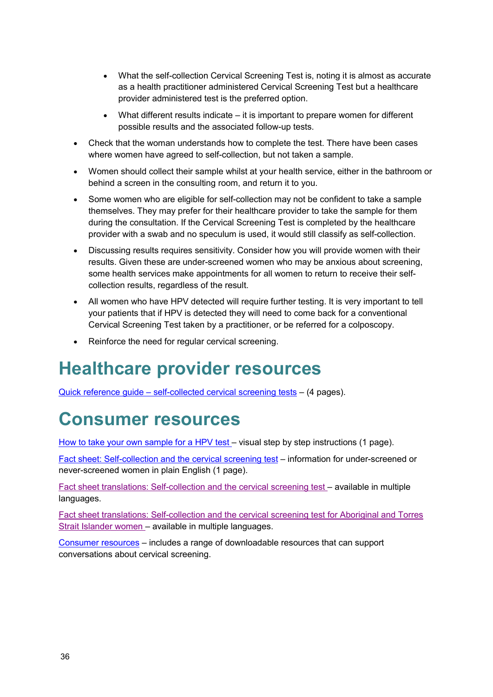- What the self-collection Cervical Screening Test is, noting it is almost as accurate as a health practitioner administered Cervical Screening Test but a healthcare provider administered test is the preferred option.
- What different results indicate it is important to prepare women for different possible results and the associated follow-up tests.
- Check that the woman understands how to complete the test. There have been cases where women have agreed to self-collection, but not taken a sample.
- Women should collect their sample whilst at your health service, either in the bathroom or behind a screen in the consulting room, and return it to you.
- Some women who are eligible for self-collection may not be confident to take a sample themselves. They may prefer for their healthcare provider to take the sample for them during the consultation. If the Cervical Screening Test is completed by the healthcare provider with a swab and no speculum is used, it would still classify as self-collection.
- Discussing results requires sensitivity. Consider how you will provide women with their results. Given these are under-screened women who may be anxious about screening, some health services make appointments for all women to return to receive their selfcollection results, regardless of the result.
- All women who have HPV detected will require further testing. It is very important to tell your patients that if HPV is detected they will need to come back for a conventional Cervical Screening Test taken by a practitioner, or be referred for a colposcopy.
- Reinforce the need for regular cervical screening.

### <span id="page-39-0"></span>**Healthcare provider resources**

Quick reference guide – [self-collected cervical screening tests](https://health.gov.au/resources/publications/national-cervical-screening-program-quick-reference-guide-self-collected-cervical-screening-tests) – (4 pages).

## <span id="page-39-1"></span>**Consumer resources**

[How to take your own sample for a HPV test](https://health.gov.au/resources/publications/national-cervical-screening-program-how-to-take-your-own-sample-for-an-hpv-test) – visual step by step instructions (1 page).

[Fact sheet: Self-collection and the cervical screening test](https://health.gov.au/resources/publications/national-cervical-screening-program-self-collection-and-the-cervical-screening-test) – information for under-screened or never-screened women in plain English (1 page).

Fact sheet [translations: Self-collection and the cervical screening test –](https://health.gov.au/resources/translated/national-cervical-screening-program-self-collection-and-the-cervical-screening-test-other-languages) available in multiple languages.

[Fact sheet translations: Self-collection and the cervical screening test for Aboriginal and Torres](https://health.gov.au/resources/translated/national-cervical-screening-program-self-collection-and-the-cervical-screening-test-for-aboriginal-and-torres-strait-islander-women-language-versions)  [Strait Islander women](https://health.gov.au/resources/translated/national-cervical-screening-program-self-collection-and-the-cervical-screening-test-for-aboriginal-and-torres-strait-islander-women-language-versions) – available in multiple languages.

[Consumer resources](#page-46-0) – includes a range of downloadable resources that can support conversations about cervical screening.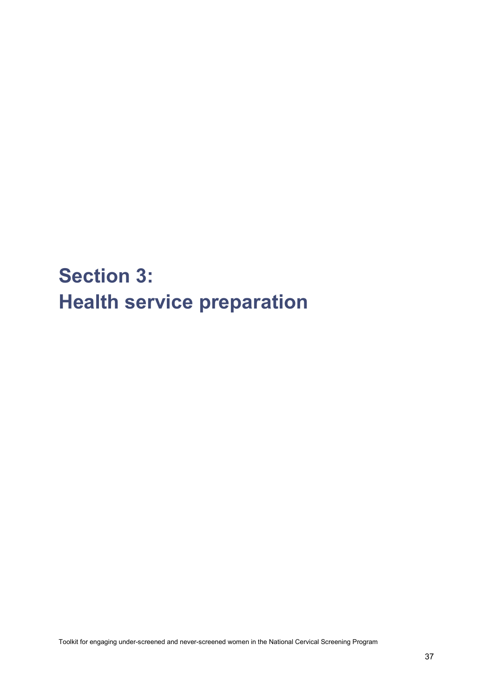<span id="page-40-0"></span>**Section 3: Health service preparation**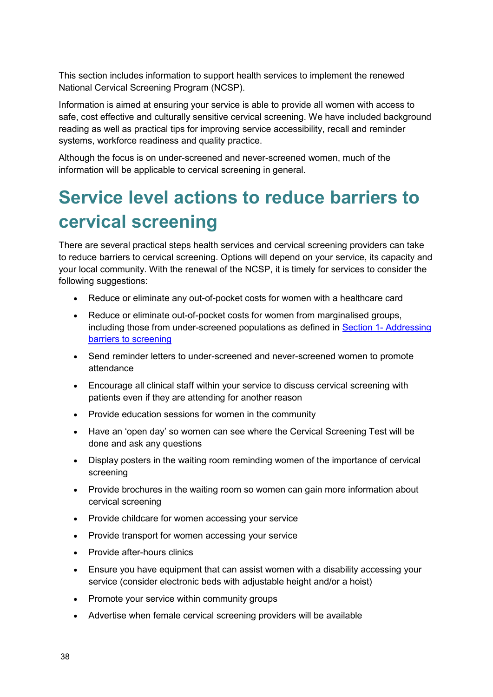This section includes information to support health services to implement the renewed National Cervical Screening Program (NCSP).

Information is aimed at ensuring your service is able to provide all women with access to safe, cost effective and culturally sensitive cervical screening. We have included background reading as well as practical tips for improving service accessibility, recall and reminder systems, workforce readiness and quality practice.

Although the focus is on under-screened and never-screened women, much of the information will be applicable to cervical screening in general.

# <span id="page-41-0"></span>**Service level actions to reduce barriers to cervical screening**

There are several practical steps health services and cervical screening providers can take to reduce barriers to cervical screening. Options will depend on your service, its capacity and your local community. With the renewal of the NCSP, it is timely for services to consider the following suggestions:

- Reduce or eliminate any out-of-pocket costs for women with a healthcare card
- Reduce or eliminate out-of-pocket costs for women from marginalised groups, including those from under-screened populations as defined in Section 1- [Addressing](#page-4-0)  [barriers to screening](#page-4-0)
- Send reminder letters to under-screened and never-screened women to promote attendance
- Encourage all clinical staff within your service to discuss cervical screening with patients even if they are attending for another reason
- Provide education sessions for women in the community
- Have an 'open day' so women can see where the Cervical Screening Test will be done and ask any questions
- Display posters in the waiting room reminding women of the importance of cervical screening
- Provide brochures in the waiting room so women can gain more information about cervical screening
- Provide childcare for women accessing your service
- Provide transport for women accessing your service
- Provide after-hours clinics
- Ensure you have equipment that can assist women with a disability accessing your service (consider electronic beds with adjustable height and/or a hoist)
- Promote your service within community groups
- Advertise when female cervical screening providers will be available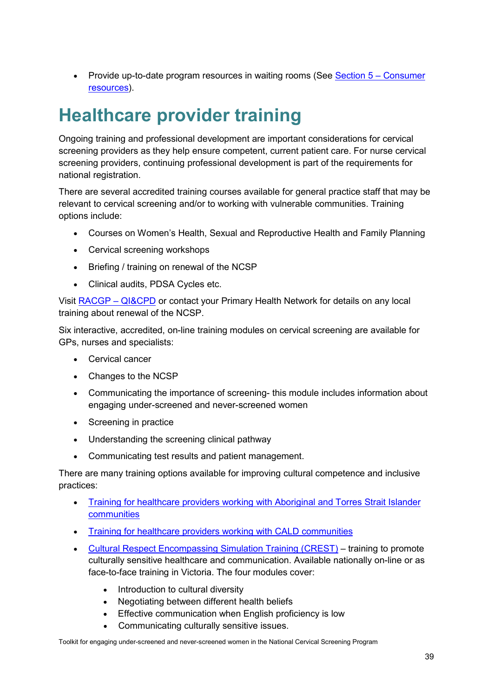• Provide up-to-date program resources in waiting rooms (See [Section 5 –](#page-46-0) Consumer [resources\)](#page-46-0).

### <span id="page-42-0"></span>**Healthcare provider training**

Ongoing training and professional development are important considerations for cervical screening providers as they help ensure competent, current patient care. For nurse cervical screening providers, continuing professional development is part of the requirements for national registration.

There are several accredited training courses available for general practice staff that may be relevant to cervical screening and/or to working with vulnerable communities. Training options include:

- Courses on Women's Health, Sexual and Reproductive Health and Family Planning
- Cervical screening workshops
- Briefing / training on renewal of the NCSP
- Clinical audits, PDSA Cycles etc.

Visit [RACGP –](https://www.racgp.org.au/education/qicpd-program/) QI&CPD or contact your Primary Health Network for details on any local training about renewal of the NCSP.

Six interactive, accredited, on-line training modules on cervical screening are available for GPs, nurses and specialists:

- Cervical cancer
- Changes to the NCSP
- Communicating the importance of screening- this module includes information about engaging under-screened and never-screened women
- Screening in practice
- Understanding the screening clinical pathway
- Communicating test results and patient management.

There are many training options available for improving cultural competence and inclusive practices:

- [Training for healthcare providers working with Aboriginal and Torres Strait Islander](#page-11-0)  [communities](#page-11-0)
- [Training for healthcare providers working with CALD communities](#page-19-1)
- [Cultural Respect Encompassing Simulation Training \(CREST\)](https://edtech.le.unimelb.edu.au/login/crest/) training to promote culturally sensitive healthcare and communication. Available nationally on-line or as face-to-face training in Victoria. The four modules cover:
	- Introduction to cultural diversity
	- Negotiating between different health beliefs
	- Effective communication when English proficiency is low
	- Communicating culturally sensitive issues.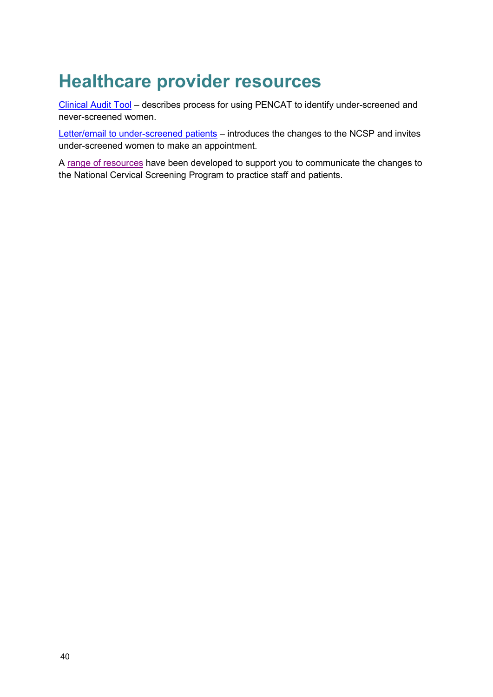## <span id="page-43-0"></span>**Healthcare provider resources**

[Clinical Audit Tool](https://help.pencs.com.au/display/CR/Patients+who+have+never+been+screened+or+are+overdue+to+screen+for+more+than+one+screening+program) – describes process for using PENCAT to identify under-screened and never-screened women.

[Letter/email to under-screened patients](https://www.cancervic.org.au/for-health-professionals/cervical-screening-providers/cervical-screening-toolkit) – introduces the changes to the NCSP and invites under-screened women to make an appointment.

A [range of resources](https://health.gov.au/initiatives-and-programs/national-cervical-screening-program/cervical-screening-resources) have been developed to support you to communicate the changes to the National Cervical Screening Program to practice staff and patients.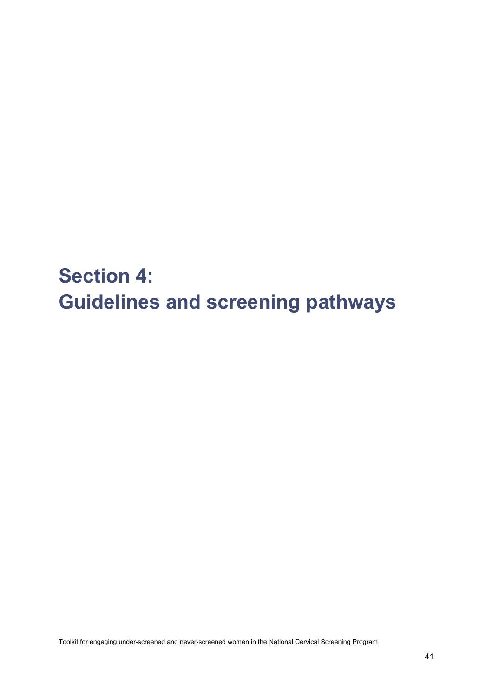<span id="page-44-0"></span>**Section 4: Guidelines and screening pathways**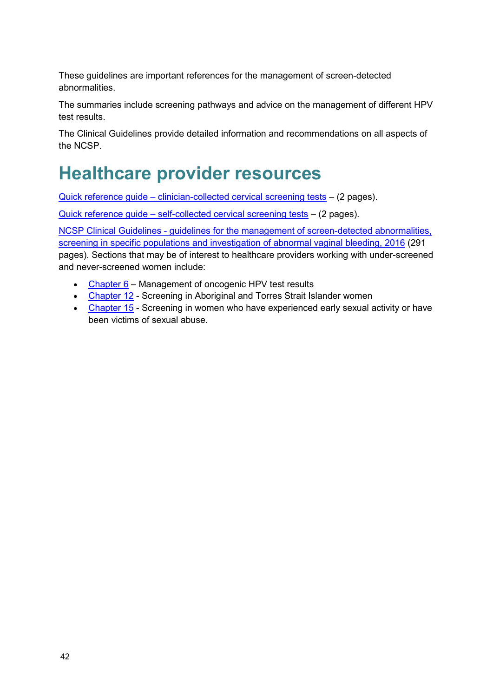These guidelines are important references for the management of screen-detected abnormalities.

The summaries include screening pathways and advice on the management of different HPV test results.

The Clinical Guidelines provide detailed information and recommendations on all aspects of the NCSP.

# <span id="page-45-0"></span>**Healthcare provider resources**

Quick reference guide – [clinician-collected cervical screening tests](https://health.gov.au/resources/publications/national-cervical-screening-program-quick-reference-guide-clinician-collected-cervical-screening-tests) – (2 pages).

Quick reference guide – [self-collected cervical screening tests](https://health.gov.au/resources/publications/national-cervical-screening-program-quick-reference-guide-self-collected-cervical-screening-tests) – (2 pages).

NCSP Clinical Guidelines - [guidelines for the management of screen-detected abnormalities,](http://wiki.cancer.org.au/australia/Guidelines:Cervical_cancer/Screening)  [screening in specific populations and investigation of abnormal vaginal bleeding, 2016](http://wiki.cancer.org.au/australia/Guidelines:Cervical_cancer/Screening) (291 pages). Sections that may be of interest to healthcare providers working with under-screened and never-screened women include:

- [Chapter 6](http://wiki.cancer.org.au/australia/Guidelines:Cervical_cancer/Screening/Management_of_oncogenic_HPV_test_results) Management of oncogenic HPV test results
- [Chapter 12](http://wiki.cancer.org.au/australia/Clinical_question:HPV_screening_strategies_for_Aboriginal_and_Torres_Strait_Islander_women) Screening in Aboriginal and Torres Strait Islander women
- [Chapter 15](http://wiki.cancer.org.au/australia/Clinical_question:Women_experienced_early_sexual_activity_or_victims_of_abuse) Screening in women who have experienced early sexual activity or have been victims of sexual abuse.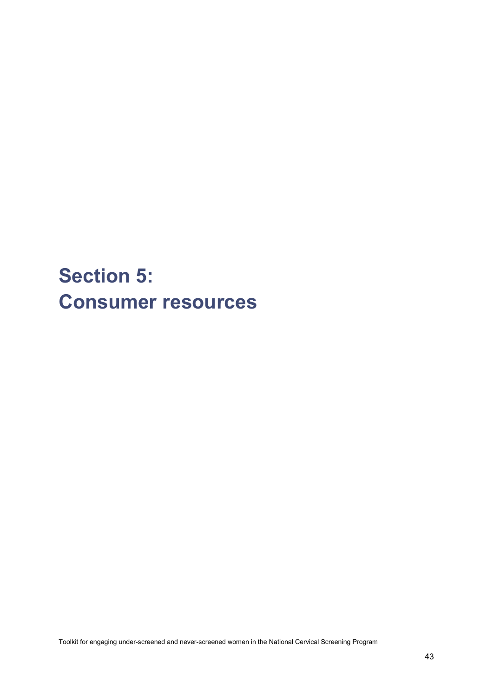# <span id="page-46-0"></span>**Section 5: Consumer resources**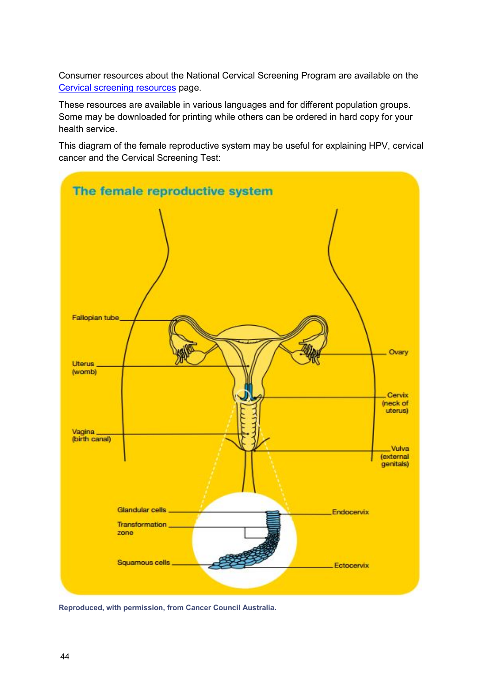Consumer resources about the National Cervical Screening Program are available on the [Cervical screening resources](https://health.gov.au/initiatives-and-programs/national-cervical-screening-program/cervical-screening-resources) page.

These resources are available in various languages and for different population groups. Some may be downloaded for printing while others can be ordered in hard copy for your health service.

This diagram of the female reproductive system may be useful for explaining HPV, cervical cancer and the Cervical Screening Test:



**Reproduced, with permission, from Cancer Council Australia.**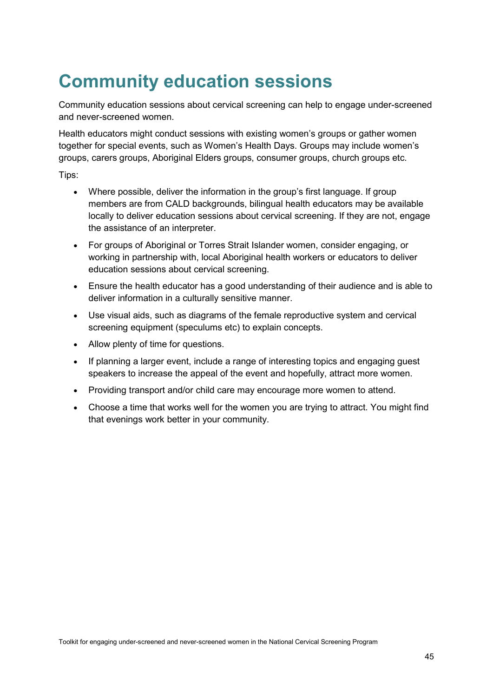# <span id="page-48-0"></span>**Community education sessions**

Community education sessions about cervical screening can help to engage under-screened and never-screened women.

Health educators might conduct sessions with existing women's groups or gather women together for special events, such as Women's Health Days. Groups may include women's groups, carers groups, Aboriginal Elders groups, consumer groups, church groups etc.

Tips:

- Where possible, deliver the information in the group's first language. If group members are from CALD backgrounds, bilingual health educators may be available locally to deliver education sessions about cervical screening. If they are not, engage the assistance of an interpreter.
- For groups of Aboriginal or Torres Strait Islander women, consider engaging, or working in partnership with, local Aboriginal health workers or educators to deliver education sessions about cervical screening.
- Ensure the health educator has a good understanding of their audience and is able to deliver information in a culturally sensitive manner.
- Use visual aids, such as diagrams of the female reproductive system and cervical screening equipment (speculums etc) to explain concepts.
- Allow plenty of time for questions.
- If planning a larger event, include a range of interesting topics and engaging guest speakers to increase the appeal of the event and hopefully, attract more women.
- Providing transport and/or child care may encourage more women to attend.
- Choose a time that works well for the women you are trying to attract. You might find that evenings work better in your community.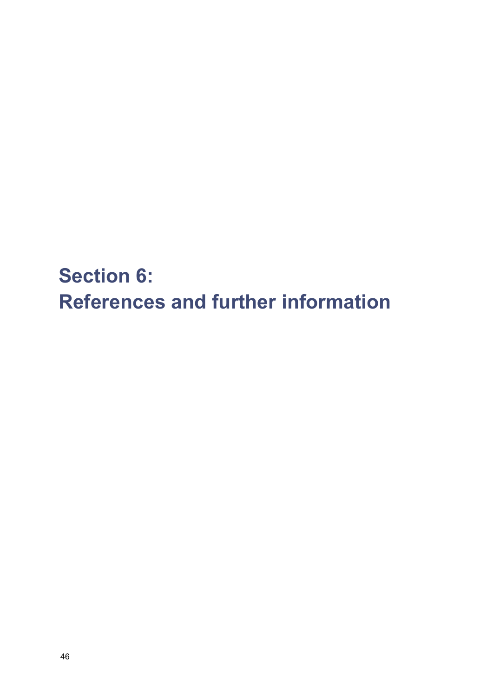<span id="page-49-0"></span>**Section 6: References and further information**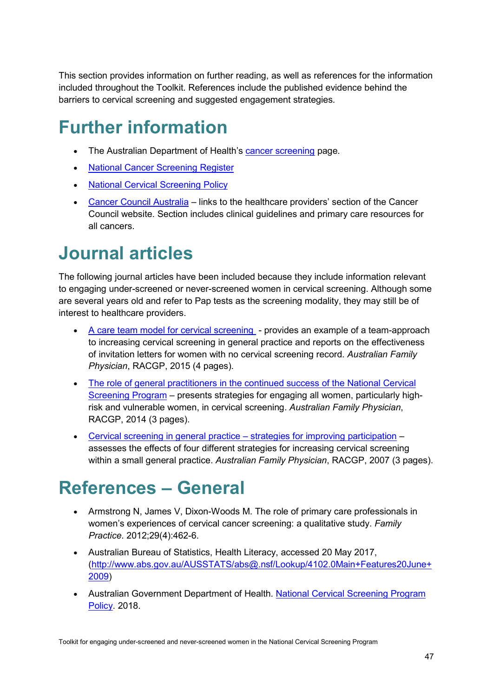This section provides information on further reading, as well as references for the information included throughout the Toolkit. References include the published evidence behind the barriers to cervical screening and suggested engagement strategies.

# <span id="page-50-0"></span>**Further information**

- The Australian Department of Health's [cancer screening](https://health.gov.au/health-topics/cancer/cancer-screening) page.
- [National Cancer Screening Register](http://www.ncsr.gov.au/)
- [National Cervical](https://health.gov.au/resources/publications/national-cervical-screening-program-national-cervical-screening-policy) Screening Policy
- [Cancer Council Australia](http://www.cancer.org.au/health-professionals/) links to the healthcare providers' section of the Cancer Council website. Section includes clinical guidelines and primary care resources for all cancers.

### <span id="page-50-1"></span>**Journal articles**

The following journal articles have been included because they include information relevant to engaging under-screened or never-screened women in cervical screening. Although some are several years old and refer to Pap tests as the screening modality, they may still be of interest to healthcare providers.

- [A care team model for cervical screening](https://www.racgp.org.au/afp/2015/july/a-team-care-model-of-cervical-%E2%80%A8screening-in-a-general-practice/) provides an example of a team-approach to increasing cervical screening in general practice and reports on the effectiveness of invitation letters for women with no cervical screening record. *Australian Family Physician*, RACGP, 2015 (4 pages).
- [The role of general practitioners in the continued success of the National Cervical](http://www.racgp.org.au/afp/2014/may/national-cervical-screening-program/)  [Screening Program](http://www.racgp.org.au/afp/2014/may/national-cervical-screening-program/) – presents strategies for engaging all women, particularly highrisk and vulnerable women, in cervical screening. *Australian Family Physician*, RACGP, 2014 (3 pages).
- [Cervical screening in general practice –](https://www.racgp.org.au/afp/200703/15392) strategies for improving participation assesses the effects of four different strategies for increasing cervical screening within a small general practice. *Australian Family Physician*, RACGP, 2007 (3 pages).

### <span id="page-50-2"></span>**References – General**

- Armstrong N, James V, Dixon-Woods M. The role of primary care professionals in women's experiences of cervical cancer screening: a qualitative study. *Family Practice*. 2012;29(4):462-6.
- Australian Bureau of Statistics, Health Literacy, accessed 20 May 2017, [\(http://www.abs.gov.au/AUSSTATS/abs@.nsf/Lookup/4102.0Main+Features20June+](http://www.abs.gov.au/AUSSTATS/abs@.nsf/Lookup/4102.0Main+Features20June+2009) [2009\)](http://www.abs.gov.au/AUSSTATS/abs@.nsf/Lookup/4102.0Main+Features20June+2009)
- Australian Government Department of Health. [National Cervical Screening Program](https://health.gov.au/resources/publications/national-cervical-screening-program-national-cervical-screening-policy)  [Policy.](https://health.gov.au/resources/publications/national-cervical-screening-program-national-cervical-screening-policy) 2018.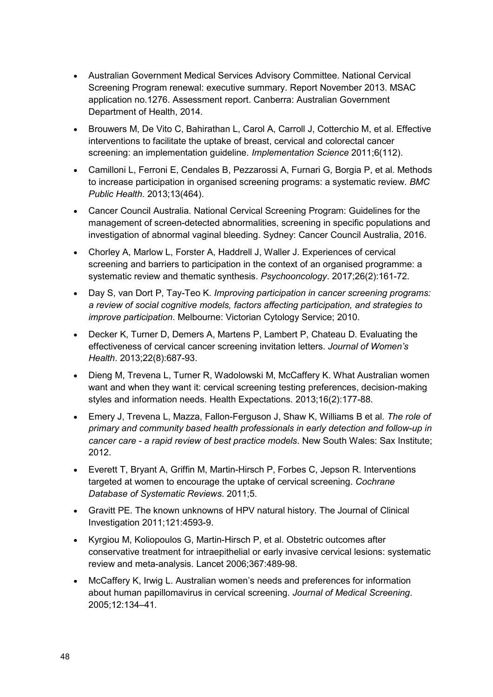- Australian Government Medical Services Advisory Committee. National Cervical Screening Program renewal: executive summary. Report November 2013. MSAC application no.1276. Assessment report. Canberra: Australian Government Department of Health, 2014.
- Brouwers M, De Vito C, Bahirathan L, Carol A, Carroll J, Cotterchio M, et al. Effective interventions to facilitate the uptake of breast, cervical and colorectal cancer screening: an implementation guideline. *Implementation Science* 2011;6(112).
- Camilloni L, Ferroni E, Cendales B, Pezzarossi A, Furnari G, Borgia P, et al. Methods to increase participation in organised screening programs: a systematic review. *BMC Public Health*. 2013;13(464).
- Cancer Council Australia. National Cervical Screening Program: Guidelines for the management of screen-detected abnormalities, screening in specific populations and investigation of abnormal vaginal bleeding. Sydney: Cancer Council Australia, 2016.
- Chorley A, Marlow L, Forster A, Haddrell J, Waller J. Experiences of cervical screening and barriers to participation in the context of an organised programme: a systematic review and thematic synthesis. *Psychooncology*. 2017;26(2):161-72.
- Day S, van Dort P, Tay-Teo K. *Improving participation in cancer screening programs: a review of social cognitive models, factors affecting participation, and strategies to improve participation*. Melbourne: Victorian Cytology Service; 2010.
- Decker K, Turner D, Demers A, Martens P, Lambert P, Chateau D. Evaluating the effectiveness of cervical cancer screening invitation letters. *Journal of Women's Health*. 2013;22(8):687-93.
- Dieng M, Trevena L, Turner R, Wadolowski M, McCaffery K. What Australian women want and when they want it: cervical screening testing preferences, decision-making styles and information needs. Health Expectations. 2013;16(2):177-88.
- Emery J, Trevena L, Mazza, Fallon-Ferguson J, Shaw K, Williams B et al. *The role of primary and community based health professionals in early detection and follow-up in cancer care - a rapid review of best practice models*. New South Wales: Sax Institute; 2012.
- Everett T, Bryant A, Griffin M, Martin-Hirsch P, Forbes C, Jepson R. Interventions targeted at women to encourage the uptake of cervical screening. *Cochrane Database of Systematic Reviews*. 2011;5.
- Gravitt PE. The known unknowns of HPV natural history. The Journal of Clinical Investigation 2011;121:4593-9.
- Kyrgiou M, Koliopoulos G, Martin-Hirsch P, et al. Obstetric outcomes after conservative treatment for intraepithelial or early invasive cervical lesions: systematic review and meta-analysis. Lancet 2006;367:489-98.
- McCaffery K, Irwig L. Australian women's needs and preferences for information about human papillomavirus in cervical screening. *Journal of Medical Screening*. 2005;12:134–41.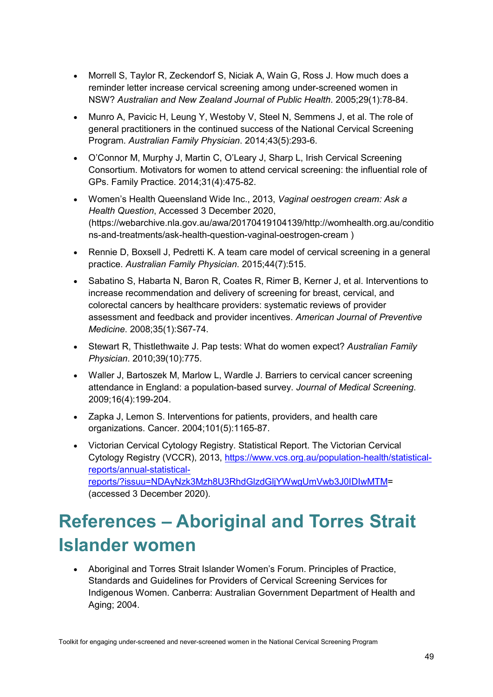- Morrell S, Taylor R, Zeckendorf S, Niciak A, Wain G, Ross J. How much does a reminder letter increase cervical screening among under-screened women in NSW? *Australian and New Zealand Journal of Public Health*. 2005;29(1):78-84.
- Munro A, Pavicic H, Leung Y, Westoby V, Steel N, Semmens J, et al. The role of general practitioners in the continued success of the National Cervical Screening Program. *Australian Family Physician*. 2014;43(5):293-6.
- O'Connor M, Murphy J, Martin C, O'Leary J, Sharp L, Irish Cervical Screening Consortium. Motivators for women to attend cervical screening: the influential role of GPs. Family Practice. 2014;31(4):475-82.
- Women's Health Queensland Wide Inc., 2013, *Vaginal oestrogen cream: Ask a Health Question*, Accessed 3 December 2020, (https://webarchive.nla.gov.au/awa/20170419104139/http://womhealth.org.au/conditio ns-and-treatments/ask-health-question-vaginal-oestrogen-cream )
- Rennie D. Boxsell J. Pedretti K. A team care model of cervical screening in a general practice. *Australian Family Physician*. 2015;44(7):515.
- Sabatino S, Habarta N, Baron R, Coates R, Rimer B, Kerner J, et al. Interventions to increase recommendation and delivery of screening for breast, cervical, and colorectal cancers by healthcare providers: systematic reviews of provider assessment and feedback and provider incentives. *American Journal of Preventive Medicine*. 2008;35(1):S67-74.
- Stewart R, Thistlethwaite J. Pap tests: What do women expect? *Australian Family Physician*. 2010;39(10):775.
- Waller J, Bartoszek M, Marlow L, Wardle J. Barriers to cervical cancer screening attendance in England: a population-based survey. *Journal of Medical Screening*. 2009;16(4):199-204.
- Zapka J, Lemon S. Interventions for patients, providers, and health care organizations. Cancer. 2004;101(5):1165-87.
- Victorian Cervical Cytology Registry. Statistical Report. The Victorian Cervical Cytology Registry (VCCR), 2013, [https://www.vcs.org.au/population-health/statistical](https://www.vcs.org.au/population-health/statistical-reports/annual-statistical-reports/?issuu=NDAyNzk3Mzh8U3RhdGlzdGljYWwgUmVwb3J0IDIwMTM)[reports/annual-statistical](https://www.vcs.org.au/population-health/statistical-reports/annual-statistical-reports/?issuu=NDAyNzk3Mzh8U3RhdGlzdGljYWwgUmVwb3J0IDIwMTM)[reports/?issuu=NDAyNzk3Mzh8U3RhdGlzdGljYWwgUmVwb3J0IDIwMTM=](https://www.vcs.org.au/population-health/statistical-reports/annual-statistical-reports/?issuu=NDAyNzk3Mzh8U3RhdGlzdGljYWwgUmVwb3J0IDIwMTM) (accessed 3 December 2020).

# <span id="page-52-0"></span>**References – Aboriginal and Torres Strait Islander women**

• Aboriginal and Torres Strait Islander Women's Forum. Principles of Practice, Standards and Guidelines for Providers of Cervical Screening Services for Indigenous Women. Canberra: Australian Government Department of Health and Aging; 2004.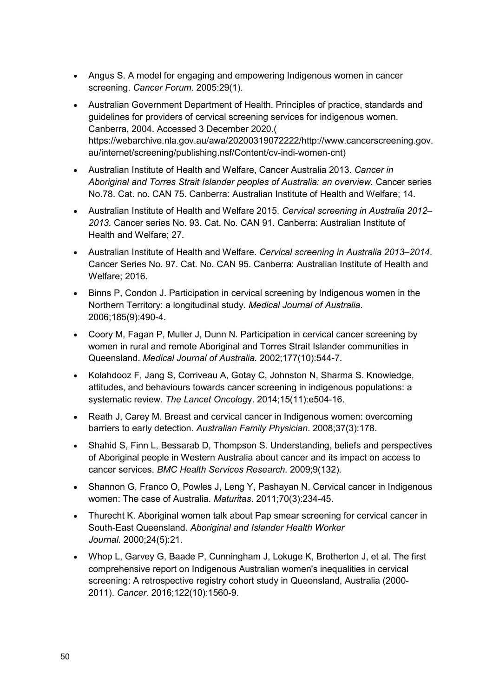- Angus S. A model for engaging and empowering Indigenous women in cancer screening. *Cancer Forum*. 2005:29(1).
- Australian Government Department of Health. Principles of practice, standards and guidelines for providers of cervical screening services for indigenous women. Canberra, 2004. Accessed 3 December 2020.( https://webarchive.nla.gov.au/awa/20200319072222/http://www.cancerscreening.gov. au/internet/screening/publishing.nsf/Content/cv-indi-women-cnt)
- Australian Institute of Health and Welfare, Cancer Australia 2013. *Cancer in Aboriginal and Torres Strait Islander peoples of Australia: an overview*. Cancer series No.78. Cat. no. CAN 75. Canberra: Australian Institute of Health and Welfare; 14.
- Australian Institute of Health and Welfare 2015. *Cervical screening in Australia 2012– 2013.* Cancer series No. 93. Cat. No. CAN 91. Canberra: Australian Institute of Health and Welfare; 27.
- Australian Institute of Health and Welfare. *Cervical screening in Australia 2013–2014*. Cancer Series No. 97. Cat. No. CAN 95. Canberra: Australian Institute of Health and Welfare; 2016.
- Binns P, Condon J. Participation in cervical screening by Indigenous women in the Northern Territory: a longitudinal study. *Medical Journal of Australia*. 2006;185(9):490-4.
- Coory M, Fagan P, Muller J, Dunn N. Participation in cervical cancer screening by women in rural and remote Aboriginal and Torres Strait Islander communities in Queensland. *Medical Journal of Australia.* 2002;177(10):544-7.
- Kolahdooz F, Jang S, Corriveau A, Gotay C, Johnston N, Sharma S. Knowledge, attitudes, and behaviours towards cancer screening in indigenous populations: a systematic review. *The Lancet Oncolog*y. 2014;15(11):e504-16.
- Reath J, Carey M. Breast and cervical cancer in Indigenous women: overcoming barriers to early detection. *Australian Family Physician*. 2008;37(3):178.
- Shahid S, Finn L, Bessarab D, Thompson S. Understanding, beliefs and perspectives of Aboriginal people in Western Australia about cancer and its impact on access to cancer services. *BMC Health Services Research*. 2009;9(132).
- Shannon G, Franco O, Powles J, Leng Y, Pashayan N. Cervical cancer in Indigenous women: The case of Australia. *Maturitas*. 2011;70(3):234-45.
- Thurecht K. Aboriginal women talk about Pap smear screening for cervical cancer in South-East Queensland. *Aboriginal and Islander Health Worker Journal.* 2000;24(5):21.
- Whop L, Garvey G, Baade P, Cunningham J, Lokuge K, Brotherton J, et al. The first comprehensive report on Indigenous Australian women's inequalities in cervical screening: A retrospective registry cohort study in Queensland, Australia (2000- 2011). *Cancer*. 2016;122(10):1560-9.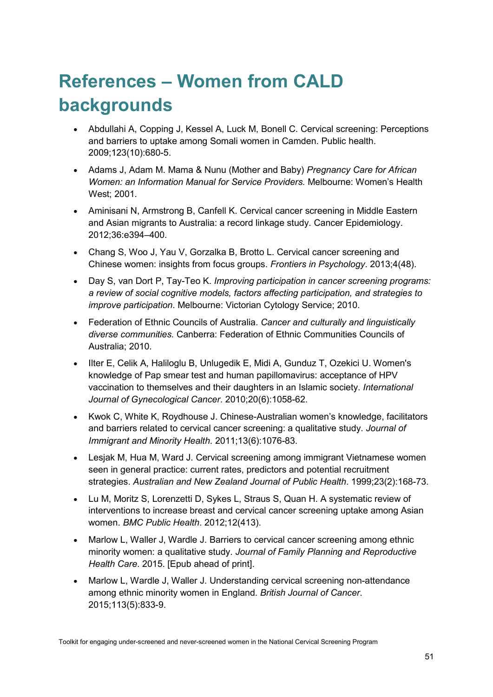# <span id="page-54-0"></span>**References – Women from CALD backgrounds**

- Abdullahi A, Copping J, Kessel A, Luck M, Bonell C. Cervical screening: Perceptions and barriers to uptake among Somali women in Camden. Public health. 2009;123(10):680-5.
- Adams J, Adam M. Mama & Nunu (Mother and Baby) *Pregnancy Care for African Women: an Information Manual for Service Providers.* Melbourne: Women's Health West; 2001.
- Aminisani N, Armstrong B, Canfell K. Cervical cancer screening in Middle Eastern and Asian migrants to Australia: a record linkage study. Cancer Epidemiology. 2012;36:e394–400.
- Chang S, Woo J, Yau V, Gorzalka B, Brotto L. Cervical cancer screening and Chinese women: insights from focus groups. *Frontiers in Psychology*. 2013;4(48).
- Day S, van Dort P, Tay-Teo K. *Improving participation in cancer screening programs: a review of social cognitive models, factors affecting participation, and strategies to improve participation*. Melbourne: Victorian Cytology Service; 2010.
- Federation of Ethnic Councils of Australia. *Cancer and culturally and linguistically diverse communities.* Canberra: Federation of Ethnic Communities Councils of Australia; 2010.
- Ilter E, Celik A, Haliloglu B, Unlugedik E, Midi A, Gunduz T, Ozekici U. Women's knowledge of Pap smear test and human papillomavirus: acceptance of HPV vaccination to themselves and their daughters in an Islamic society. *International Journal of Gynecological Cancer*. 2010;20(6):1058-62.
- Kwok C, White K, Roydhouse J. Chinese-Australian women's knowledge, facilitators and barriers related to cervical cancer screening: a qualitative study. *Journal of Immigrant and Minority Health*. 2011;13(6):1076-83.
- Lesjak M, Hua M, Ward J. Cervical screening among immigrant Vietnamese women seen in general practice: current rates, predictors and potential recruitment strategies. *Australian and New Zealand Journal of Public Health*. 1999;23(2):168-73.
- Lu M, Moritz S, Lorenzetti D, Sykes L, Straus S, Quan H. A systematic review of interventions to increase breast and cervical cancer screening uptake among Asian women. *BMC Public Health*. 2012;12(413).
- Marlow L, Waller J, Wardle J. Barriers to cervical cancer screening among ethnic minority women: a qualitative study. *Journal of Family Planning and Reproductive Health Care*. 2015. [Epub ahead of print].
- Marlow L, Wardle J, Waller J. Understanding cervical screening non-attendance among ethnic minority women in England. *British Journal of Cancer*. 2015;113(5):833-9.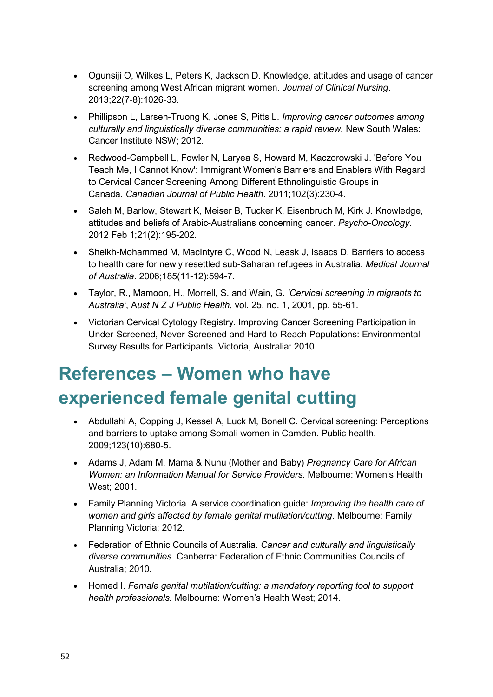- Ogunsiji O, Wilkes L, Peters K, Jackson D. Knowledge, attitudes and usage of cancer screening among West African migrant women. *Journal of Clinical Nursing*. 2013;22(7-8):1026-33.
- Phillipson L, Larsen-Truong K, Jones S, Pitts L. *Improving cancer outcomes among culturally and linguistically diverse communities: a rapid review.* New South Wales: Cancer Institute NSW; 2012.
- Redwood-Campbell L, Fowler N, Laryea S, Howard M, Kaczorowski J. 'Before You Teach Me, I Cannot Know': Immigrant Women's Barriers and Enablers With Regard to Cervical Cancer Screening Among Different Ethnolinguistic Groups in Canada. *Canadian Journal of Public Health*. 2011;102(3):230-4.
- Saleh M, Barlow, Stewart K, Meiser B, Tucker K, Eisenbruch M, Kirk J. Knowledge, attitudes and beliefs of Arabic-Australians concerning cancer. *Psycho-Oncology*. 2012 Feb 1;21(2):195-202.
- Sheikh-Mohammed M, MacIntyre C, Wood N, Leask J, Isaacs D. Barriers to access to health care for newly resettled sub-Saharan refugees in Australia. *Medical Journal of Australia*. 2006;185(11-12):594-7.
- Taylor, R., Mamoon, H., Morrell, S. and Wain, G. *'Cervical screening in migrants to Australia'*, A*ust N Z J Public Health*, vol. 25, no. 1, 2001, pp. 55-61.
- Victorian Cervical Cytology Registry. Improving Cancer Screening Participation in Under-Screened, Never-Screened and Hard-to-Reach Populations: Environmental Survey Results for Participants. Victoria, Australia: 2010.

# <span id="page-55-0"></span>**References – Women who have experienced female genital cutting**

- Abdullahi A, Copping J, Kessel A, Luck M, Bonell C. Cervical screening: Perceptions and barriers to uptake among Somali women in Camden. Public health. 2009;123(10):680-5.
- Adams J, Adam M. Mama & Nunu (Mother and Baby) *Pregnancy Care for African Women: an Information Manual for Service Providers.* Melbourne: Women's Health West; 2001.
- Family Planning Victoria. A service coordination guide: *Improving the health care of women and girls affected by female genital mutilation/cutting*. Melbourne: Family Planning Victoria; 2012.
- Federation of Ethnic Councils of Australia. *Cancer and culturally and linguistically diverse communities.* Canberra: Federation of Ethnic Communities Councils of Australia; 2010.
- Homed I. *Female genital mutilation/cutting: a mandatory reporting tool to support health professionals.* Melbourne: Women's Health West; 2014.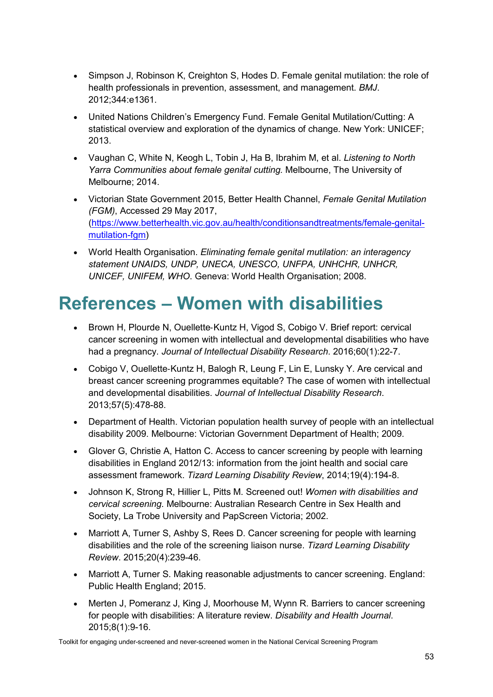- Simpson J, Robinson K, Creighton S, Hodes D. Female genital mutilation: the role of health professionals in prevention, assessment, and management. *BMJ*. 2012;344:e1361.
- United Nations Children's Emergency Fund. Female Genital Mutilation/Cutting: A statistical overview and exploration of the dynamics of change. New York: UNICEF; 2013.
- Vaughan C, White N, Keogh L, Tobin J, Ha B, Ibrahim M, et al. *Listening to North Yarra Communities about female genital cutting.* Melbourne, The University of Melbourne; 2014.
- Victorian State Government 2015, Better Health Channel, *Female Genital Mutilation (FGM)*, Accessed 29 May 2017, [\(https://www.betterhealth.vic.gov.au/health/conditionsandtreatments/female-genital](https://www.betterhealth.vic.gov.au/health/conditionsandtreatments/female-genital-mutilation-fgm)[mutilation-fgm\)](https://www.betterhealth.vic.gov.au/health/conditionsandtreatments/female-genital-mutilation-fgm)
- World Health Organisation. *Eliminating female genital mutilation: an interagency statement UNAIDS, UNDP, UNECA, UNESCO, UNFPA, UNHCHR, UNHCR, UNICEF, UNIFEM, WHO*. Geneva: World Health Organisation; 2008.

### <span id="page-56-0"></span>**References – Women with disabilities**

- Brown H, Plourde N, Ouellette-Kuntz H, Vigod S, Cobigo V. Brief report: cervical cancer screening in women with intellectual and developmental disabilities who have had a pregnancy. *Journal of Intellectual Disability Research*. 2016;60(1):22-7.
- Cobigo V, Ouellette‐Kuntz H, Balogh R, Leung F, Lin E, Lunsky Y. Are cervical and breast cancer screening programmes equitable? The case of women with intellectual and developmental disabilities. *Journal of Intellectual Disability Research*. 2013;57(5):478-88.
- Department of Health. Victorian population health survey of people with an intellectual disability 2009. Melbourne: Victorian Government Department of Health; 2009.
- Glover G, Christie A, Hatton C. Access to cancer screening by people with learning disabilities in England 2012/13: information from the joint health and social care assessment framework. *Tizard Learning Disability Review*, 2014;19(4):194-8.
- Johnson K, Strong R, Hillier L, Pitts M. Screened out! *Women with disabilities and cervical screening*. Melbourne: Australian Research Centre in Sex Health and Society, La Trobe University and PapScreen Victoria; 2002.
- Marriott A, Turner S, Ashby S, Rees D. Cancer screening for people with learning disabilities and the role of the screening liaison nurse. *Tizard Learning Disability Review*. 2015;20(4):239-46.
- Marriott A, Turner S. Making reasonable adjustments to cancer screening. England: Public Health England; 2015.
- Merten J, Pomeranz J, King J, Moorhouse M, Wynn R. Barriers to cancer screening for people with disabilities: A literature review. *Disability and Health Journal*. 2015;8(1):9-16.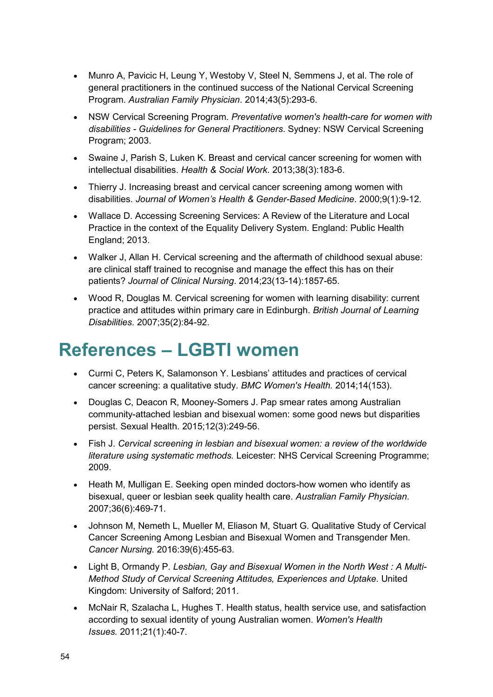- Munro A, Pavicic H, Leung Y, Westoby V, Steel N, Semmens J, et al. The role of general practitioners in the continued success of the National Cervical Screening Program. *Australian Family Physician*. 2014;43(5):293-6.
- NSW Cervical Screening Program. *Preventative women's health-care for women with disabilities - Guidelines for General Practitioners*. Sydney: NSW Cervical Screening Program; 2003.
- Swaine J, Parish S, Luken K. Breast and cervical cancer screening for women with intellectual disabilities. *Health & Social Work*. 2013;38(3):183-6.
- Thierry J. Increasing breast and cervical cancer screening among women with disabilities. *Journal of Women's Health & Gender-Based Medicine*. 2000;9(1):9-12.
- Wallace D. Accessing Screening Services: A Review of the Literature and Local Practice in the context of the Equality Delivery System. England: Public Health England; 2013.
- Walker J, Allan H. Cervical screening and the aftermath of childhood sexual abuse: are clinical staff trained to recognise and manage the effect this has on their patients? *Journal of Clinical Nursing*. 2014;23(13-14):1857-65.
- Wood R, Douglas M. Cervical screening for women with learning disability: current practice and attitudes within primary care in Edinburgh. *British Journal of Learning Disabilities*. 2007;35(2):84-92.

### <span id="page-57-0"></span>**References – LGBTI women**

- Curmi C, Peters K, Salamonson Y. Lesbians' attitudes and practices of cervical cancer screening: a qualitative study. *BMC Women's Health.* 2014;14(153).
- Douglas C, Deacon R, Mooney-Somers J. Pap smear rates among Australian community-attached lesbian and bisexual women: some good news but disparities persist. Sexual Health. 2015;12(3):249-56.
- Fish J. *Cervical screening in lesbian and bisexual women: a review of the worldwide literature using systematic methods.* Leicester: NHS Cervical Screening Programme; 2009.
- Heath M, Mulligan E. Seeking open minded doctors-how women who identify as bisexual, queer or lesbian seek quality health care. *Australian Family Physician*. 2007;36(6):469-71.
- Johnson M, Nemeth L, Mueller M, Eliason M, Stuart G. Qualitative Study of Cervical Cancer Screening Among Lesbian and Bisexual Women and Transgender Men. *Cancer Nursing*. 2016:39(6):455-63.
- Light B, Ormandy P. *Lesbian, Gay and Bisexual Women in the North West : A Multi-Method Study of Cervical Screening Attitudes, Experiences and Uptake*. United Kingdom: University of Salford; 2011.
- McNair R, Szalacha L, Hughes T. Health status, health service use, and satisfaction according to sexual identity of young Australian women. *Women's Health Issues.* 2011;21(1):40-7.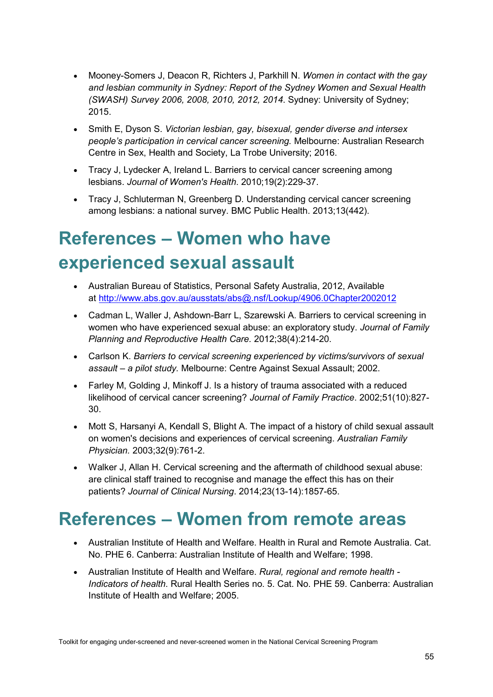- Mooney-Somers J, Deacon R, Richters J, Parkhill N. *Women in contact with the gay and lesbian community in Sydney: Report of the Sydney Women and Sexual Health (SWASH) Survey 2006, 2008, 2010, 2012, 2014*. Sydney: University of Sydney; 2015.
- Smith E, Dyson S. *Victorian lesbian, gay, bisexual, gender diverse and intersex people's participation in cervical cancer screening.* Melbourne: Australian Research Centre in Sex, Health and Society, La Trobe University; 2016.
- Tracy J, Lydecker A, Ireland L. Barriers to cervical cancer screening among lesbians. *Journal of Women's Health*. 2010;19(2):229-37.
- Tracy J, Schluterman N, Greenberg D. Understanding cervical cancer screening among lesbians: a national survey. BMC Public Health. 2013;13(442).

# <span id="page-58-0"></span>**References – Women who have experienced sexual assault**

- Australian Bureau of Statistics, Personal Safety Australia, 2012, Available at <http://www.abs.gov.au/ausstats/abs@.nsf/Lookup/4906.0Chapter2002012>
- Cadman L, Waller J, Ashdown-Barr L, Szarewski A. Barriers to cervical screening in women who have experienced sexual abuse: an exploratory study. *Journal of Family Planning and Reproductive Health Care.* 2012;38(4):214-20.
- Carlson K. *Barriers to cervical screening experienced by victims/survivors of sexual assault – a pilot study.* Melbourne: Centre Against Sexual Assault; 2002.
- Farley M, Golding J, Minkoff J. Is a history of trauma associated with a reduced likelihood of cervical cancer screening? *Journal of Family Practice*. 2002;51(10):827- 30.
- Mott S, Harsanyi A, Kendall S, Blight A. The impact of a history of child sexual assault on women's decisions and experiences of cervical screening. *Australian Family Physician.* 2003;32(9):761-2.
- Walker J, Allan H. Cervical screening and the aftermath of childhood sexual abuse: are clinical staff trained to recognise and manage the effect this has on their patients? *Journal of Clinical Nursing*. 2014;23(13-14):1857-65.

### <span id="page-58-1"></span>**References – Women from remote areas**

- Australian Institute of Health and Welfare. Health in Rural and Remote Australia. Cat. No. PHE 6. Canberra: Australian Institute of Health and Welfare; 1998.
- Australian Institute of Health and Welfare. *Rural, regional and remote health - Indicators of health*. Rural Health Series no. 5. Cat. No. PHE 59. Canberra: Australian Institute of Health and Welfare; 2005.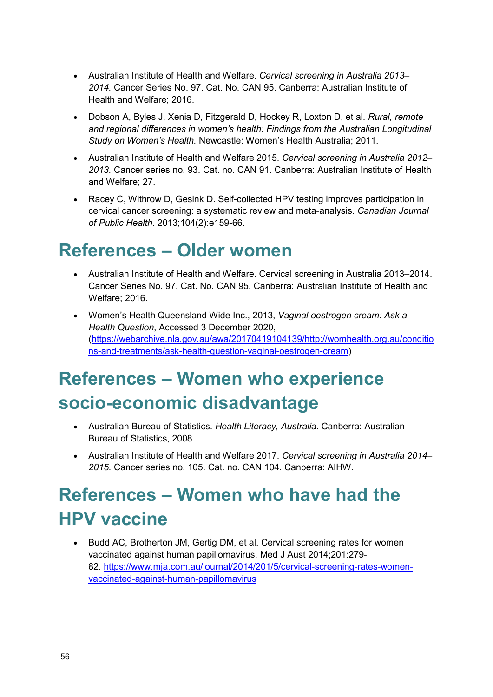- Australian Institute of Health and Welfare. *Cervical screening in Australia 2013– 2014.* Cancer Series No. 97. Cat. No. CAN 95. Canberra: Australian Institute of Health and Welfare; 2016.
- Dobson A, Byles J, Xenia D, Fitzgerald D, Hockey R, Loxton D, et al. *Rural, remote and regional differences in women's health: Findings from the Australian Longitudinal Study on Women's Health.* Newcastle: Women's Health Australia; 2011.
- Australian Institute of Health and Welfare 2015. *Cervical screening in Australia 2012– 2013.* Cancer series no. 93. Cat. no. CAN 91. Canberra: Australian Institute of Health and Welfare; 27.
- Racey C, Withrow D, Gesink D. Self-collected HPV testing improves participation in cervical cancer screening: a systematic review and meta-analysis. *Canadian Journal of Public Health*. 2013;104(2):e159-66.

### <span id="page-59-0"></span>**References – Older women**

- Australian Institute of Health and Welfare. Cervical screening in Australia 2013–2014. Cancer Series No. 97. Cat. No. CAN 95. Canberra: Australian Institute of Health and Welfare; 2016.
- Women's Health Queensland Wide Inc., 2013, *Vaginal oestrogen cream: Ask a Health Question*, Accessed 3 December 2020, [\(https://webarchive.nla.gov.au/awa/20170419104139/http://womhealth.org.au/conditio](https://webarchive.nla.gov.au/awa/20170419104139/http:/womhealth.org.au/conditions-and-treatments/ask-health-question-vaginal-oestrogen-cream) [ns-and-treatments/ask-health-question-vaginal-oestrogen-cream\)](https://webarchive.nla.gov.au/awa/20170419104139/http:/womhealth.org.au/conditions-and-treatments/ask-health-question-vaginal-oestrogen-cream)

# <span id="page-59-1"></span>**References – Women who experience socio-economic disadvantage**

- Australian Bureau of Statistics. *Health Literacy, Australia*. Canberra: Australian Bureau of Statistics, 2008.
- Australian Institute of Health and Welfare 2017. *Cervical screening in Australia 2014– 2015.* Cancer series no. 105. Cat. no. CAN 104. Canberra: AIHW.

## <span id="page-59-2"></span>**References – Women who have had the HPV vaccine**

• Budd AC, Brotherton JM, Gertig DM, et al. Cervical screening rates for women vaccinated against human papillomavirus. Med J Aust 2014;201:279- 82. [https://www.mja.com.au/journal/2014/201/5/cervical-screening-rates-women](https://www.mja.com.au/journal/2014/201/5/cervical-screening-rates-women-vaccinated-against-human-papillomavirus?0=ip_login_no_cache%3D9995af8201693f36b45c64e31e7997bf)[vaccinated-against-human-papillomavirus](https://www.mja.com.au/journal/2014/201/5/cervical-screening-rates-women-vaccinated-against-human-papillomavirus?0=ip_login_no_cache%3D9995af8201693f36b45c64e31e7997bf)